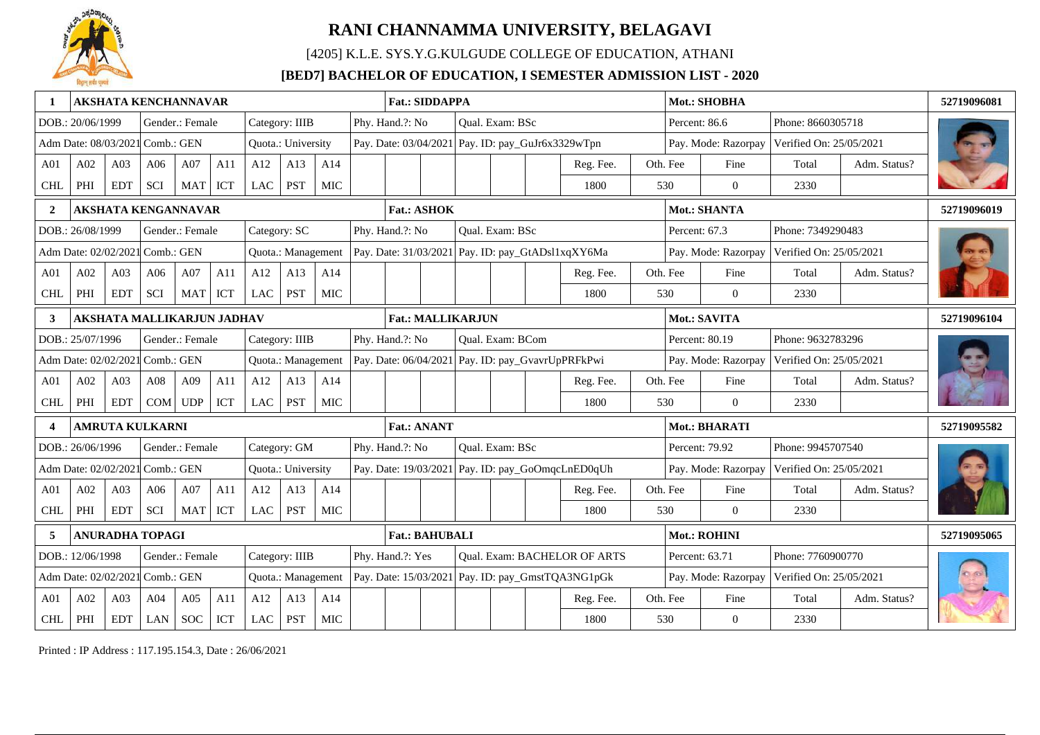

[4205] K.L.E. SYS.Y.G.KULGUDE COLLEGE OF EDUCATION, ATHANI

### **[BED7] BACHELOR OF EDUCATION, I SEMESTER ADMISSION LIST - 2020**

|                 |                                 |                 | <b>AKSHATA KENCHANNAVAR</b>       |                 |     |            |                    |            | <b>Fat.: SIDDAPPA</b>    |  |                  |                                                   |               | Mot.: SHOBHA        |                         |              | 52719096081 |
|-----------------|---------------------------------|-----------------|-----------------------------------|-----------------|-----|------------|--------------------|------------|--------------------------|--|------------------|---------------------------------------------------|---------------|---------------------|-------------------------|--------------|-------------|
|                 | DOB.: 20/06/1999                |                 |                                   | Gender.: Female |     |            | Category: IIIB     |            | Phy. Hand.?: No          |  | Qual. Exam: BSc  |                                                   |               | Percent: 86.6       | Phone: 8660305718       |              |             |
|                 | Adm Date: 08/03/2021 Comb.: GEN |                 |                                   |                 |     |            | Quota.: University |            |                          |  |                  | Pay. Date: 03/04/2021 Pay. ID: pay_GuJr6x3329wTpn |               | Pay. Mode: Razorpay | Verified On: 25/05/2021 |              |             |
| A <sub>01</sub> | A02                             | A03             | A06                               | A07             | A11 | A12        | A13                | A14        |                          |  |                  | Reg. Fee.                                         | Oth. Fee      | Fine                | Total                   | Adm. Status? |             |
| <b>CHL</b>      | PHI                             | <b>EDT</b>      | <b>SCI</b>                        | MAT             | ICT | LAC        | <b>PST</b>         | MIC        |                          |  |                  | 1800                                              | 530           | $\overline{0}$      | 2330                    |              |             |
| $\mathbf{2}$    |                                 |                 | <b>AKSHATA KENGANNAVAR</b>        |                 |     |            |                    |            | <b>Fat.: ASHOK</b>       |  |                  |                                                   |               | Mot.: SHANTA        |                         |              | 52719096019 |
|                 | DOB.: 26/08/1999                |                 |                                   | Gender.: Female |     |            | Category: SC       |            | Phy. Hand.?: No          |  | Qual. Exam: BSc  |                                                   | Percent: 67.3 |                     | Phone: 7349290483       |              |             |
|                 | Adm Date: 02/02/2021 Comb.: GEN |                 |                                   |                 |     |            | Quota.: Management |            |                          |  |                  | Pay. Date: 31/03/2021 Pay. ID: pay_GtADsl1xqXY6Ma |               | Pay. Mode: Razorpay | Verified On: 25/05/2021 |              |             |
| A <sub>01</sub> | A02                             | A <sub>03</sub> | A06                               | A07             | A11 | A12        | A13                | A14        |                          |  |                  | Reg. Fee.                                         | Oth. Fee      | Fine                | Total                   | Adm. Status? |             |
| <b>CHL</b>      | PHI                             | <b>EDT</b>      | SCI                               | MAT             | ICT | <b>LAC</b> | <b>PST</b>         | MIC        |                          |  |                  | 1800                                              | 530           | $\overline{0}$      | 2330                    |              |             |
| 3               |                                 |                 | <b>AKSHATA MALLIKARJUN JADHAV</b> |                 |     |            |                    |            | <b>Fat.: MALLIKARJUN</b> |  |                  |                                                   |               | Mot.: SAVITA        |                         |              | 52719096104 |
|                 | DOB.: 25/07/1996                |                 |                                   | Gender.: Female |     |            | Category: IIIB     |            | Phy. Hand.?: No          |  | Qual. Exam: BCom |                                                   |               | Percent: 80.19      | Phone: 9632783296       |              |             |
|                 | Adm Date: 02/02/2021 Comb.: GEN |                 |                                   |                 |     |            | Quota.: Management |            |                          |  |                  | Pay. Date: 06/04/2021 Pay. ID: pay_GvavrUpPRFkPwi |               | Pay. Mode: Razorpay | Verified On: 25/05/2021 |              |             |
| A <sub>01</sub> | A02                             | A03             | A08                               | A09             | A11 | A12        | A13                | A14        |                          |  |                  | Reg. Fee.                                         | Oth. Fee      | Fine                | Total                   | Adm. Status? |             |
| <b>CHL</b>      | PHI                             | <b>EDT</b>      |                                   | COM UDP         | ICT | LAC        | <b>PST</b>         | MIC        |                          |  |                  | 1800                                              | 530           | $\theta$            | 2330                    |              |             |
|                 |                                 |                 | <b>AMRUTA KULKARNI</b>            |                 |     |            |                    |            | <b>Fat.: ANANT</b>       |  |                  |                                                   |               | Mot.: BHARATI       |                         |              | 52719095582 |
|                 | DOB.: 26/06/1996                |                 |                                   | Gender.: Female |     |            | Category: GM       |            | Phy. Hand.?: No          |  | Qual. Exam: BSc  |                                                   |               | Percent: 79.92      | Phone: 9945707540       |              |             |
|                 | Adm Date: 02/02/2021 Comb.: GEN |                 |                                   |                 |     |            | Quota.: University |            |                          |  |                  | Pay. Date: 19/03/2021 Pay. ID: pay_GoOmqcLnED0qUh |               | Pay. Mode: Razorpay | Verified On: 25/05/2021 |              |             |
| A <sub>01</sub> | A02                             | A03             | A06                               | A07             | A11 | A12        | A13                | A14        |                          |  |                  | Reg. Fee.                                         | Oth. Fee      | Fine                | Total                   | Adm. Status? |             |
| <b>CHL</b>      | PHI                             | <b>EDT</b>      | <b>SCI</b>                        | <b>MAT</b>      | ICT | <b>LAC</b> | <b>PST</b>         | <b>MIC</b> |                          |  |                  | 1800                                              | 530           | $\Omega$            | 2330                    |              |             |
|                 |                                 |                 | <b>ANURADHA TOPAGI</b>            |                 |     |            |                    |            | <b>Fat.: BAHUBALI</b>    |  |                  |                                                   |               | Mot.: ROHINI        |                         |              | 52719095065 |
|                 | DOB.: 12/06/1998                |                 |                                   | Gender.: Female |     |            | Category: IIIB     |            | Phy. Hand.?: Yes         |  |                  | Qual. Exam: BACHELOR OF ARTS                      |               | Percent: 63.71      | Phone: 7760900770       |              |             |
|                 | Adm Date: 02/02/202             |                 | Comb.: GEN                        |                 |     |            | Quota.: Management |            |                          |  |                  | Pay. Date: 15/03/2021 Pay. ID: pay_GmstTQA3NG1pGk |               | Pay. Mode: Razorpay | Verified On: 25/05/2021 |              |             |
| A <sub>01</sub> | A02                             | A03             | A04                               | A05             | A11 | A12        | A13                | A14        |                          |  |                  | Reg. Fee.                                         | Oth. Fee      | Fine                | Total                   | Adm. Status? |             |
| <b>CHL</b>      | $\rm PHI$                       | <b>EDT</b>      | LAN                               | <b>SOC</b>      | ICT | <b>LAC</b> | <b>PST</b>         | <b>MIC</b> |                          |  |                  | 1800                                              | 530           | $\overline{0}$      | 2330                    |              |             |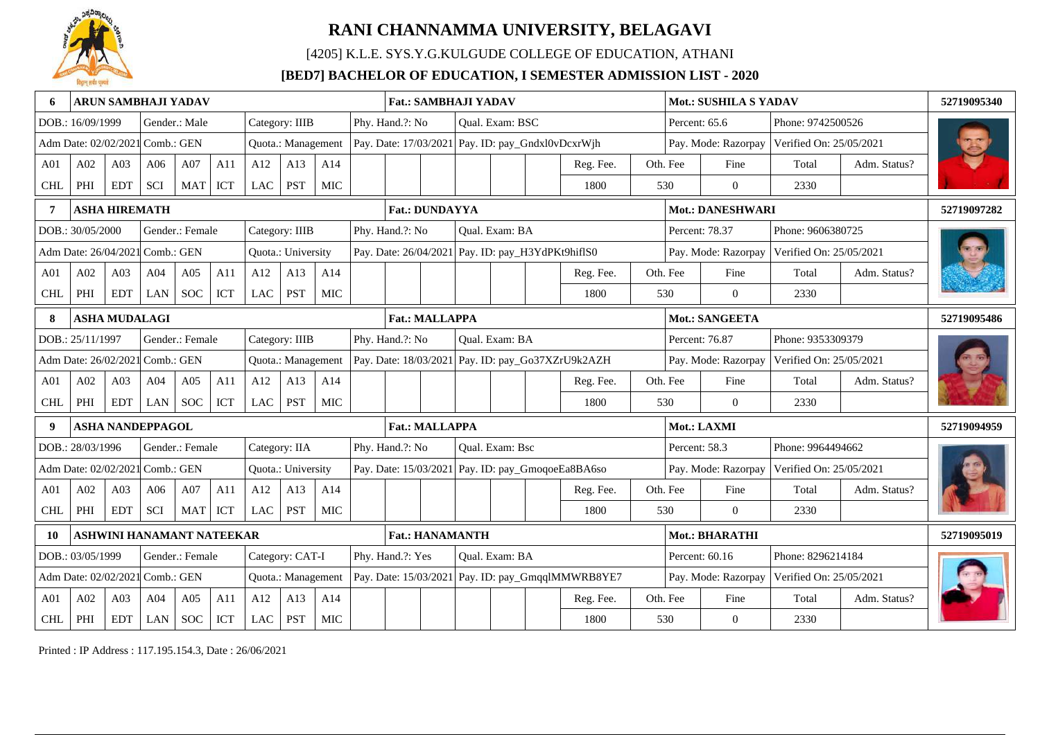

[4205] K.L.E. SYS.Y.G.KULGUDE COLLEGE OF EDUCATION, ATHANI

### **[BED7] BACHELOR OF EDUCATION, I SEMESTER ADMISSION LIST - 2020**

|                 |                                 |            | <b>ARUN SAMBHAJI YADAV</b> |                      |     |                 |                    |            |                 |                       | <b>Fat.: SAMBHAJI YADAV</b> |                 |                                                   |                                                   |                   | <b>Mot.: SUSHILA S YADAV</b> |                         |              | 52719095340 |
|-----------------|---------------------------------|------------|----------------------------|----------------------|-----|-----------------|--------------------|------------|-----------------|-----------------------|-----------------------------|-----------------|---------------------------------------------------|---------------------------------------------------|-------------------|------------------------------|-------------------------|--------------|-------------|
|                 | DOB.: 16/09/1999                |            |                            | Gender.: Male        |     |                 | Category: IIIB     |            | Phy. Hand.?: No |                       |                             | Qual. Exam: BSC |                                                   |                                                   | Percent: 65.6     |                              | Phone: 9742500526       |              |             |
|                 | Adm Date: 02/02/2021 Comb.: GEN |            |                            |                      |     |                 | Quota.: Management |            |                 |                       |                             |                 |                                                   | Pay. Date: 17/03/2021 Pay. ID: pay_Gndxl0vDcxrWjh |                   | Pay. Mode: Razorpay          | Verified On: 25/05/2021 |              |             |
| A <sub>01</sub> | A02                             | A03        | A06                        | A07                  | A11 | A12             | A13                | A14        |                 |                       |                             |                 |                                                   | Reg. Fee.                                         | Oth. Fee          | Fine                         | Total                   | Adm. Status? |             |
| <b>CHL</b>      | PHI                             | <b>EDT</b> | SCI                        | <b>MAT</b>           | ICT | LAC             | PST                | MIC        |                 |                       |                             |                 |                                                   | 1800                                              | 530               | $\Omega$                     | 2330                    |              |             |
|                 |                                 |            | <b>ASHA HIREMATH</b>       |                      |     |                 |                    |            |                 | <b>Fat.: DUNDAYYA</b> |                             |                 |                                                   |                                                   |                   | <b>Mot.: DANESHWARI</b>      |                         |              | 52719097282 |
|                 | DOB.: 30/05/2000                |            |                            | Gender.: Female      |     |                 | Category: IIIB     |            | Phy. Hand.?: No |                       |                             | Oual. Exam: BA  |                                                   |                                                   |                   | Percent: 78.37               | Phone: 9606380725       |              |             |
|                 | Adm Date: 26/04/2021            |            | $\mathsf{Comb}$ : GEN      |                      |     |                 | Quota.: University |            |                 |                       |                             |                 | Pay. Date: 26/04/2021 Pay. ID: pay_H3YdPKt9hiflS0 |                                                   |                   | Pay. Mode: Razorpay          | Verified On: 25/05/2021 |              |             |
| A01             | A02                             | A03        | A04                        | A05                  | A11 | A12             | A13                | A14        |                 |                       |                             |                 |                                                   | Reg. Fee.                                         | Oth. Fee          | Fine                         | Total                   | Adm. Status? |             |
| <b>CHL</b>      | PHI                             | <b>EDT</b> | LAN                        | <b>SOC</b>           | ICT | <b>LAC</b>      | <b>PST</b>         | MIC        |                 |                       |                             |                 |                                                   | 1800                                              | 530               | $\theta$                     | 2330                    |              |             |
|                 |                                 |            | <b>ASHA MUDALAGI</b>       |                      |     |                 |                    |            |                 | <b>Fat.: MALLAPPA</b> |                             |                 |                                                   |                                                   |                   | Mot.: SANGEETA               |                         |              | 52719095486 |
|                 | DOB.: 25/11/1997                |            |                            | Gender.: Female      |     |                 | Category: IIIB     |            | Phy. Hand.?: No |                       |                             | Oual. Exam: BA  |                                                   |                                                   |                   | Percent: 76.87               | Phone: 9353309379       |              |             |
|                 | Adm Date: 26/02/2021            |            | Comb.: GEN                 |                      |     |                 | Quota.: Management |            |                 |                       |                             |                 |                                                   | Pay. Date: 18/03/2021 Pay. ID: pay_Go37XZrU9k2AZH |                   | Pay. Mode: Razorpay          | Verified On: 25/05/2021 |              |             |
| A <sub>01</sub> | A02                             | A03        | A04                        | A05                  | A11 | A12             | A13                | A14        |                 |                       |                             |                 |                                                   | Reg. Fee.                                         | Oth. Fee          | Fine                         | Total                   | Adm. Status? |             |
| <b>CHL</b>      | PHI                             | <b>EDT</b> | <b>LAN</b>                 | <b>SOC</b>           | ICT | LAC             | <b>PST</b>         | <b>MIC</b> |                 |                       |                             |                 |                                                   | 1800                                              | 530               | $\Omega$                     | 2330                    |              |             |
|                 |                                 |            | <b>ASHA NANDEPPAGOL</b>    |                      |     |                 |                    |            |                 | <b>Fat.: MALLAPPA</b> |                             |                 |                                                   |                                                   |                   | Mot.: LAXMI                  |                         |              | 52719094959 |
|                 | DOB.: 28/03/1996                |            |                            | Gender.: Female      |     |                 | Category: IIA      |            | Phy. Hand.?: No |                       |                             | Oual. Exam: Bsc |                                                   |                                                   | Percent: 58.3     |                              | Phone: 9964494662       |              |             |
|                 | Adm Date: 02/02/2021            |            | Comb.: GEN                 |                      |     |                 | Quota.: University |            |                 |                       |                             |                 |                                                   | Pay. Date: 15/03/2021 Pay. ID: pay_GmoqoeEa8BA6so |                   | Pay. Mode: Razorpay          | Verified On: 25/05/2021 |              |             |
| A01             | A02                             | A03        | A06                        | A07                  | A11 | A12             | A13                | A14        |                 |                       |                             |                 |                                                   | Reg. Fee.                                         | Oth. Fee          | Fine                         | Total                   | Adm. Status? |             |
| <b>CHL</b>      | PHI                             | <b>EDT</b> | SCI                        | <b>MAT</b>           | ICT | LAC             | <b>PST</b>         | <b>MIC</b> |                 |                       |                             |                 |                                                   | 1800                                              | 530               | $\overline{0}$               | 2330                    |              |             |
|                 |                                 |            | ASHWINI HANAMANT NATEEKAR  |                      |     |                 |                    |            |                 |                       | <b>Fat.: HANAMANTH</b>      |                 |                                                   |                                                   |                   | Mot.: BHARATHI               |                         |              | 52719095019 |
|                 | DOB.: 03/05/1999                |            |                            | Gender.: Female      |     | Category: CAT-I | Phy. Hand.?: Yes   |            |                 | Qual. Exam: BA        |                             |                 |                                                   | Percent: 60.16                                    | Phone: 8296214184 |                              |                         |              |             |
|                 | Adm Date: 02/02/202             |            | Comb.: GEN                 |                      |     |                 | Quota.: Management |            |                 |                       |                             |                 |                                                   | Pay. Date: 15/03/2021 Pay. ID: pay_GmqqlMMWRB8YE7 |                   | Pay. Mode: Razorpay          | Verified On: 25/05/2021 |              |             |
| A <sub>01</sub> | A02                             | A03        | A04                        | A05                  | A11 | A12             | A13                | A14        |                 |                       |                             |                 |                                                   | Reg. Fee.                                         | Oth. Fee          | Fine                         | Total                   | Adm. Status? |             |
| <b>CHL</b>      | $\rm PHI$                       | <b>EDT</b> | LAN                        | $\operatorname{SOC}$ | ICT | <b>LAC</b>      | <b>PST</b>         | <b>MIC</b> |                 |                       |                             |                 |                                                   | 1800                                              | 530               | $\overline{0}$               | 2330                    |              |             |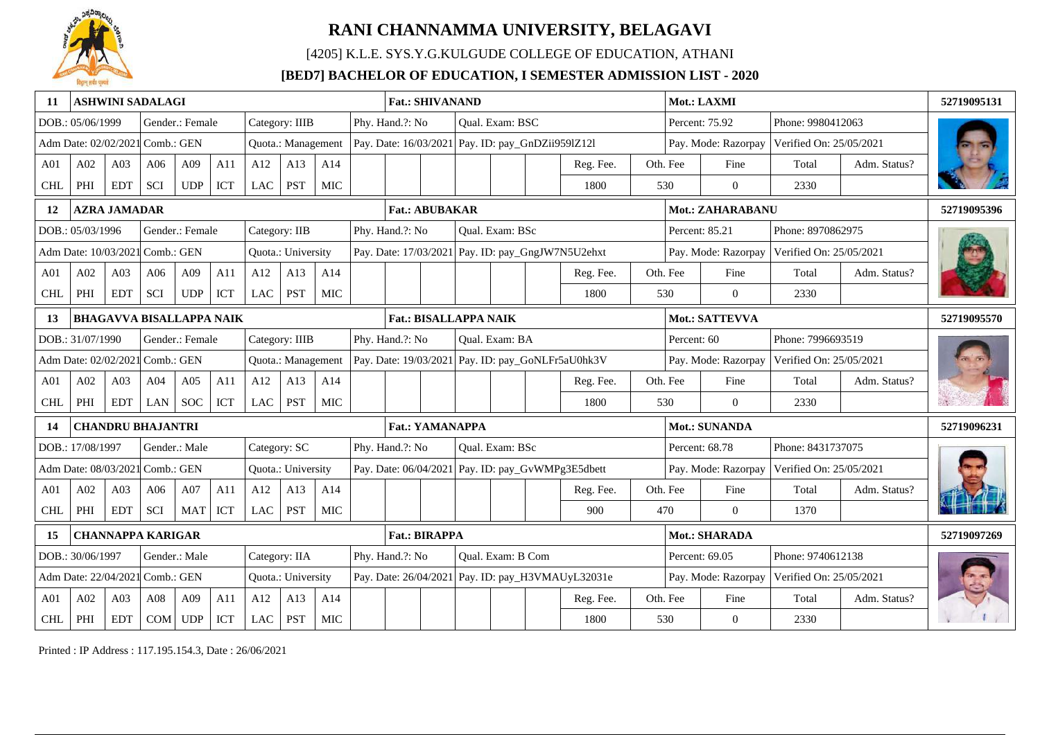

[4205] K.L.E. SYS.Y.G.KULGUDE COLLEGE OF EDUCATION, ATHANI

### **[BED7] BACHELOR OF EDUCATION, I SEMESTER ADMISSION LIST - 2020**

| 11              |                                 |                     | <b>ASHWINI SADALAGI</b>         |                                    |     |               |                    |            |  | <b>Fat.: SHIVANAND</b>                            |  |                   |                                                   |             | Mot.: LAXMI         |                         |              | 52719095131 |
|-----------------|---------------------------------|---------------------|---------------------------------|------------------------------------|-----|---------------|--------------------|------------|--|---------------------------------------------------|--|-------------------|---------------------------------------------------|-------------|---------------------|-------------------------|--------------|-------------|
|                 | DOB.: 05/06/1999                |                     |                                 | Gender.: Female                    |     |               | Category: IIIB     |            |  | Phy. Hand.?: No                                   |  | Qual. Exam: BSC   |                                                   |             | Percent: 75.92      | Phone: 9980412063       |              |             |
|                 | Adm Date: 02/02/2021 Comb.: GEN |                     |                                 |                                    |     |               | Quota.: Management |            |  | Pay. Date: 16/03/2021 Pay. ID: pay_GnDZii959lZ12l |  |                   |                                                   |             | Pay. Mode: Razorpay | Verified On: 25/05/2021 |              |             |
| A01             | A02                             | A03                 | A06                             | A09                                | A11 | A12           | A13                | A14        |  |                                                   |  |                   | Reg. Fee.                                         | Oth. Fee    | Fine                | Total                   | Adm. Status? |             |
| <b>CHI</b>      | PHI                             | <b>EDT</b>          | <b>SCI</b>                      | <b>UDP</b>                         | ICT | LAC           | <b>PST</b>         | <b>MIC</b> |  |                                                   |  |                   | 1800                                              | 530         | $\overline{0}$      | 2330                    |              |             |
| 12              |                                 | <b>AZRA JAMADAR</b> |                                 |                                    |     |               |                    |            |  | <b>Fat.: ABUBAKAR</b>                             |  |                   |                                                   |             | Mot.: ZAHARABANU    |                         |              | 52719095396 |
|                 | DOB.: 05/03/1996                |                     |                                 | Gender.: Female                    |     | Category: IIB |                    |            |  | Phy. Hand.?: No                                   |  | Qual. Exam: BSc   |                                                   |             | Percent: 85.21      | Phone: 8970862975       |              |             |
|                 | Adm Date: 10/03/2021 Comb.: GEN |                     |                                 |                                    |     |               | Quota.: University |            |  |                                                   |  |                   | Pay. Date: 17/03/2021 Pay. ID: pay_GngJW7N5U2ehxt |             | Pay. Mode: Razorpay | Verified On: 25/05/2021 |              |             |
| A <sub>01</sub> | A02                             | A <sub>03</sub>     | A06                             | A09                                | A11 | A12           | A13                | A14        |  |                                                   |  |                   | Reg. Fee.                                         | Oth. Fee    | Fine                | Total                   | Adm. Status? |             |
| <b>CHL</b>      | PHI                             | <b>EDT</b>          | <b>SCI</b>                      | <b>UDP</b>                         | ICT | <b>LAC</b>    | <b>PST</b>         | MIC        |  |                                                   |  |                   | 1800                                              | 530         | $\overline{0}$      | 2330                    |              |             |
| 13              |                                 |                     | <b>BHAGAVVA BISALLAPPA NAIK</b> |                                    |     |               |                    |            |  | <b>Fat.: BISALLAPPA NAIK</b>                      |  |                   |                                                   |             | Mot.: SATTEVVA      |                         |              | 52719095570 |
|                 | DOB.: 31/07/1990                |                     |                                 | Gender.: Female                    |     |               | Category: IIIB     |            |  | Phy. Hand.?: No                                   |  | Qual. Exam: BA    |                                                   | Percent: 60 |                     | Phone: 7996693519       |              |             |
|                 | Adm Date: 02/02/2021 Comb.: GEN |                     |                                 |                                    |     |               | Quota.: Management |            |  |                                                   |  |                   | Pay. Date: 19/03/2021 Pay. ID: pay_GoNLFr5aU0hk3V |             | Pay. Mode: Razorpay | Verified On: 25/05/2021 |              |             |
| A01             | A02                             | A03                 | A04                             | A05                                | A11 | A12           | A13                | A14        |  |                                                   |  |                   | Reg. Fee.                                         | Oth. Fee    | Fine                | Total                   | Adm. Status? |             |
| <b>CHL</b>      | PHI                             | <b>EDT</b>          | <b>LAN</b>                      | <b>SOC</b>                         | ICT | LAC           | PST                | <b>MIC</b> |  |                                                   |  |                   | 1800                                              | 530         | $\overline{0}$      | 2330                    |              |             |
| 14              |                                 |                     | <b>CHANDRU BHAJANTRI</b>        |                                    |     |               |                    |            |  | <b>Fat.: YAMANAPPA</b>                            |  |                   |                                                   |             | Mot.: SUNANDA       |                         |              | 52719096231 |
|                 | DOB.: 17/08/1997                |                     |                                 | Gender.: Male                      |     | Category: SC  |                    |            |  | Phy. Hand.?: No                                   |  | Qual. Exam: BSc   |                                                   |             | Percent: 68.78      | Phone: 8431737075       |              |             |
|                 | Adm Date: 08/03/2021 Comb.: GEN |                     |                                 |                                    |     |               | Quota.: University |            |  |                                                   |  |                   | Pay. Date: 06/04/2021 Pay. ID: pay_GvWMPg3E5dbett |             | Pay. Mode: Razorpay | Verified On: 25/05/2021 |              |             |
| A01             | A02                             | A03                 | A06                             | A07                                | A11 | A12           | A13                | A14        |  |                                                   |  |                   | Reg. Fee.                                         | Oth. Fee    | Fine                | Total                   | Adm. Status? |             |
| <b>CHI</b>      | PHI                             | <b>EDT</b>          | <b>SCI</b>                      | MAT                                | ICT | <b>LAC</b>    | <b>PST</b>         | <b>MIC</b> |  |                                                   |  |                   | 900                                               | 470         | $\Omega$            | 1370                    |              |             |
| 15              |                                 |                     | <b>CHANNAPPA KARIGAR</b>        |                                    |     |               |                    |            |  | <b>Fat.: BIRAPPA</b>                              |  |                   |                                                   |             | Mot.: SHARADA       |                         |              | 52719097269 |
|                 | DOB.: 30/06/1997                |                     | Category: IIA<br>Gender.: Male  |                                    |     |               |                    |            |  | Phy. Hand.?: No                                   |  | Qual. Exam: B Com |                                                   |             | Percent: 69.05      | Phone: 9740612138       |              |             |
|                 | Adm Date: 22/04/2021            |                     | Comb.: GEN                      |                                    |     |               | Quota.: University |            |  |                                                   |  |                   | Pay. Date: 26/04/2021 Pay. ID: pay_H3VMAUyL32031e |             | Pay. Mode: Razorpay | Verified On: 25/05/2021 |              |             |
| A <sub>01</sub> | A02                             | A03                 | A08                             | A09                                | A11 | A12           | A13                | A14        |  |                                                   |  |                   | Reg. Fee.                                         | Oth. Fee    | Fine                | Total                   | Adm. Status? |             |
| <b>CHL</b>      | PHI                             | <b>EDT</b>          | COM                             | $\ensuremath{\mathsf{UDP}}\xspace$ | ICT | <b>LAC</b>    | <b>PST</b>         | <b>MIC</b> |  |                                                   |  |                   | 1800                                              | 530         | $\boldsymbol{0}$    | 2330                    |              |             |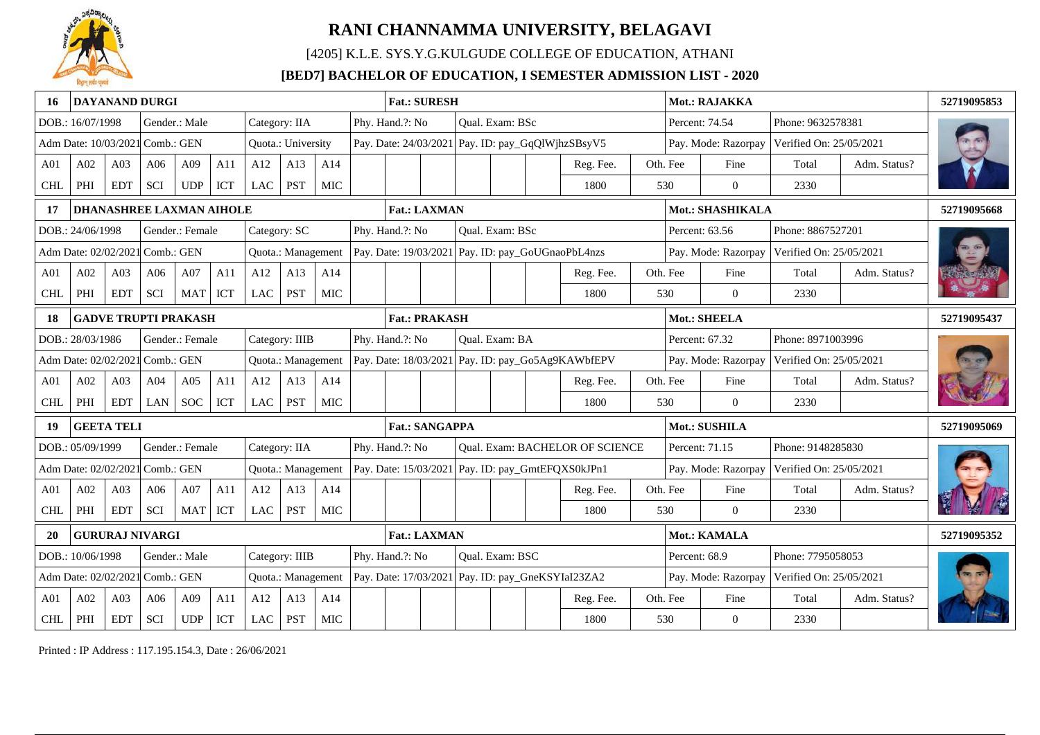

[4205] K.L.E. SYS.Y.G.KULGUDE COLLEGE OF EDUCATION, ATHANI

### **[BED7] BACHELOR OF EDUCATION, I SEMESTER ADMISSION LIST - 2020**

|                 |                                 |                 | <b>DAYANAND DURGI</b>           |                                    |     |            |                    |            | <b>Fat.: SURESH</b>   |  |                 |                                                   |          | Mot.: RAJAKKA       |                         |              | 52719095853 |
|-----------------|---------------------------------|-----------------|---------------------------------|------------------------------------|-----|------------|--------------------|------------|-----------------------|--|-----------------|---------------------------------------------------|----------|---------------------|-------------------------|--------------|-------------|
|                 | DOB.: 16/07/1998                |                 |                                 | Gender.: Male                      |     |            | Category: IIA      |            | Phy. Hand.?: No       |  | Qual. Exam: BSc |                                                   |          | Percent: 74.54      | Phone: 9632578381       |              |             |
|                 | Adm Date: 10/03/2021 Comb.: GEN |                 |                                 |                                    |     |            | Quota.: University |            |                       |  |                 | Pay. Date: 24/03/2021 Pay. ID: pay_GqQlWjhzSBsyV5 |          | Pay. Mode: Razorpay | Verified On: 25/05/2021 |              |             |
| A <sub>01</sub> | A02                             | A03             | A06                             | A09                                | A11 | A12        | A13                | A14        |                       |  |                 | Reg. Fee.                                         | Oth. Fee | Fine                | Total                   | Adm. Status? |             |
| <b>CHL</b>      | PHI                             | <b>EDT</b>      | <b>SCI</b>                      | UDP                                | ICT | LAC        | <b>PST</b>         | MIC        |                       |  |                 | 1800                                              | 530      | $\overline{0}$      | 2330                    |              |             |
| 17              |                                 |                 | <b>DHANASHREE LAXMAN AIHOLE</b> |                                    |     |            |                    |            | <b>Fat.: LAXMAN</b>   |  |                 |                                                   |          | Mot.: SHASHIKALA    |                         |              | 52719095668 |
|                 | DOB.: 24/06/1998                |                 |                                 | Gender.: Female                    |     |            | Category: SC       |            | Phy. Hand.?: No       |  | Qual. Exam: BSc |                                                   |          | Percent: 63.56      | Phone: 8867527201       |              |             |
|                 | Adm Date: 02/02/2021 Comb.: GEN |                 |                                 |                                    |     |            | Quota.: Management |            |                       |  |                 | Pay. Date: 19/03/2021 Pay. ID: pay_GoUGnaoPbL4nzs |          | Pay. Mode: Razorpay | Verified On: 25/05/2021 |              |             |
| A <sub>01</sub> | A02                             | A <sub>03</sub> | A06                             | A07                                | A11 | A12        | A13                | A14        |                       |  |                 | Reg. Fee.                                         | Oth. Fee | Fine                | Total                   | Adm. Status? |             |
| <b>CHL</b>      | PHI                             | <b>EDT</b>      | SCI                             | MAT                                | ICT | <b>LAC</b> | <b>PST</b>         | MIC        |                       |  |                 | 1800                                              | 530      | $\overline{0}$      | 2330                    |              |             |
|                 |                                 |                 | <b>GADVE TRUPTI PRAKASH</b>     |                                    |     |            |                    |            | <b>Fat.: PRAKASH</b>  |  |                 |                                                   |          | Mot.: SHEELA        |                         |              | 52719095437 |
|                 | DOB.: 28/03/1986                |                 |                                 | Gender.: Female                    |     |            | Category: IIIB     |            | Phy. Hand.?: No       |  | Qual. Exam: BA  |                                                   |          | Percent: 67.32      | Phone: 8971003996       |              |             |
|                 | Adm Date: 02/02/2021 Comb.: GEN |                 |                                 |                                    |     |            | Quota.: Management |            |                       |  |                 | Pay. Date: 18/03/2021 Pay. ID: pay_Go5Ag9KAWbfEPV |          | Pay. Mode: Razorpay | Verified On: 25/05/2021 |              |             |
| A <sub>01</sub> | A02                             | A03             | A04                             | A05                                | A11 | A12        | A13                | A14        |                       |  |                 | Reg. Fee.                                         | Oth. Fee | Fine                | Total                   | Adm. Status? |             |
| <b>CHL</b>      | PHI                             | <b>EDT</b>      | LAN                             | <b>SOC</b>                         | ICT | LAC        | <b>PST</b>         | <b>MIC</b> |                       |  |                 | 1800                                              | 530      | $\theta$            | 2330                    |              |             |
| 19              | <b>GEETA TELI</b>               |                 |                                 |                                    |     |            |                    |            | <b>Fat.: SANGAPPA</b> |  |                 |                                                   |          | Mot.: SUSHILA       |                         |              | 52719095069 |
|                 | DOB.: 05/09/1999                |                 |                                 | Gender.: Female                    |     |            | Category: IIA      |            | Phy. Hand.?: No       |  |                 | Qual. Exam: BACHELOR OF SCIENCE                   |          | Percent: 71.15      | Phone: 9148285830       |              |             |
|                 | Adm Date: 02/02/2021            |                 | $\vert$ Comb.: GEN              |                                    |     |            | Quota.: Management |            |                       |  |                 | Pay. Date: 15/03/2021 Pay. ID: pay_GmtEFQXS0kJPn1 |          | Pay. Mode: Razorpay | Verified On: 25/05/2021 |              |             |
| A <sub>01</sub> | A02                             | A03             | A06                             | A07                                | A11 | A12        | A13                | A14        |                       |  |                 | Reg. Fee.                                         | Oth. Fee | Fine                | Total                   | Adm. Status? |             |
| <b>CHL</b>      | PHI                             | <b>EDT</b>      | <b>SCI</b>                      | MAT                                | ICT | <b>LAC</b> | <b>PST</b>         | <b>MIC</b> |                       |  |                 | 1800                                              | 530      | $\Omega$            | 2330                    |              |             |
|                 |                                 |                 | <b>GURURAJ NIVARGI</b>          |                                    |     |            |                    |            | <b>Fat.: LAXMAN</b>   |  |                 |                                                   |          | Mot.: KAMALA        |                         |              | 52719095352 |
|                 | DOB.: 10/06/1998                |                 |                                 | Gender.: Male                      |     |            | Category: IIIB     |            | Phy. Hand.?: No       |  | Qual. Exam: BSC |                                                   |          | Percent: 68.9       | Phone: 7795058053       |              |             |
|                 | Adm Date: 02/02/202             |                 | Comb.: GEN                      |                                    |     |            | Quota.: Management |            |                       |  |                 | Pay. Date: 17/03/2021 Pay. ID: pay_GneKSYIaI23ZA2 |          | Pay. Mode: Razorpay | Verified On: 25/05/2021 |              |             |
| A <sub>01</sub> | A02                             | A03             | A06                             | A09                                | A11 | A12        | A13                | A14        |                       |  |                 | Reg. Fee.                                         | Oth. Fee | Fine                | Total                   | Adm. Status? |             |
| <b>CHL</b>      | $\rm PHI$                       | <b>EDT</b>      | SCI                             | $\ensuremath{\mathsf{UDP}}\xspace$ | ICT | <b>LAC</b> | <b>PST</b>         | <b>MIC</b> |                       |  |                 | 1800                                              | 530      | $\overline{0}$      | 2330                    |              |             |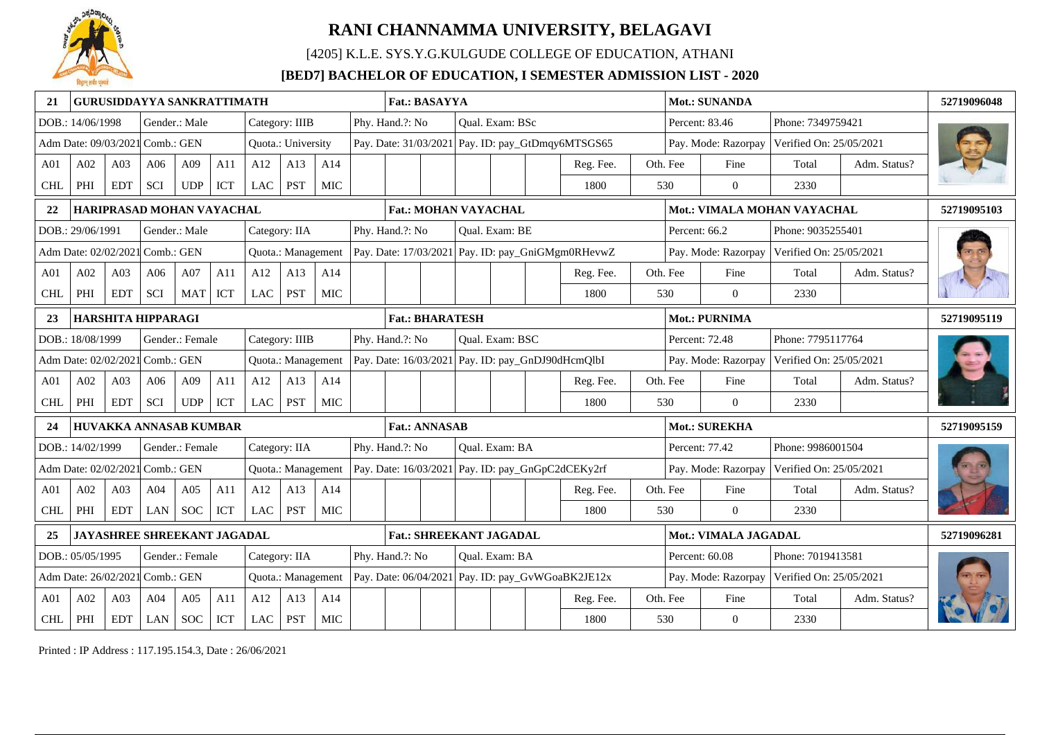

[4205] K.L.E. SYS.Y.G.KULGUDE COLLEGE OF EDUCATION, ATHANI

### **[BED7] BACHELOR OF EDUCATION, I SEMESTER ADMISSION LIST - 2020**

| 21              |                                 |                 |                    | <b>GURUSIDDAYYA SANKRATTIMATH</b> |     |     |                    |            | <b>Mot.: SUNANDA</b><br><b>Fat.: BASAYYA</b> |                             |                                                                                                       |                                                       |                 |  |                                                   |  |               |                             | 52719096048             |              |             |
|-----------------|---------------------------------|-----------------|--------------------|-----------------------------------|-----|-----|--------------------|------------|----------------------------------------------|-----------------------------|-------------------------------------------------------------------------------------------------------|-------------------------------------------------------|-----------------|--|---------------------------------------------------|--|---------------|-----------------------------|-------------------------|--------------|-------------|
|                 | DOB.: 14/06/1998                |                 |                    | Gender.: Male                     |     |     | Category: IIIB     |            |                                              | Phy. Hand.?: No             |                                                                                                       |                                                       | Oual. Exam: BSc |  |                                                   |  |               | Percent: 83.46              | Phone: 7349759421       |              |             |
|                 | Adm Date: 09/03/2021 Comb.: GEN |                 |                    |                                   |     |     | Quota.: University |            |                                              |                             |                                                                                                       |                                                       |                 |  | Pay. Date: 31/03/2021 Pay. ID: pay_GtDmqy6MTSGS65 |  |               | Pay. Mode: Razorpay         | Verified On: 25/05/2021 |              |             |
| A01             | A02                             | A03             | A06                | A09                               | A11 | A12 | A13                | A14        |                                              |                             |                                                                                                       |                                                       |                 |  | Reg. Fee.                                         |  | Oth. Fee      | Fine                        | Total                   | Adm. Status? |             |
| <b>CHL</b>      | PHI                             | <b>EDT</b>      | SCI                | UDP                               | ICT | LAC | PST                | <b>MIC</b> |                                              |                             |                                                                                                       |                                                       |                 |  | 1800                                              |  | 530           | $\theta$                    | 2330                    |              |             |
| 22              |                                 |                 |                    | HARIPRASAD MOHAN VAYACHAL         |     |     |                    |            |                                              | <b>Fat.: MOHAN VAYACHAL</b> |                                                                                                       |                                                       |                 |  |                                                   |  |               | Mot.: VIMALA MOHAN VAYACHAL |                         |              | 52719095103 |
|                 | DOB.: 29/06/1991                |                 |                    | Gender.: Male                     |     |     | Category: IIA      |            |                                              | Phy. Hand.?: No             |                                                                                                       |                                                       | Qual. Exam: BE  |  |                                                   |  | Percent: 66.2 |                             | Phone: 9035255401       |              |             |
|                 | Adm Date: 02/02/2021 Comb.: GEN |                 |                    |                                   |     |     | Quota.: Management |            |                                              |                             |                                                                                                       |                                                       |                 |  | Pay. Date: 17/03/2021 Pay. ID: pay_GniGMgm0RHevwZ |  |               | Pay. Mode: Razorpay         | Verified On: 25/05/2021 |              |             |
| A <sub>01</sub> | A02                             | A03             | A06                | A07                               | A11 | A12 | A13                | A14        |                                              |                             |                                                                                                       |                                                       |                 |  | Reg. Fee.                                         |  | Oth. Fee      | Fine                        | Total                   | Adm. Status? |             |
| <b>CHL</b>      | PHI                             | <b>EDT</b>      | <b>SCI</b>         | <b>MAT</b>                        | ICT | LAC | <b>PST</b>         | <b>MIC</b> |                                              |                             |                                                                                                       |                                                       |                 |  | 1800                                              |  | 530           | $\overline{0}$              | 2330                    |              |             |
| 23              |                                 |                 | HARSHITA HIPPARAGI |                                   |     |     |                    |            |                                              | <b>Fat.: BHARATESH</b>      |                                                                                                       |                                                       |                 |  |                                                   |  | Mot.: PURNIMA |                             |                         | 52719095119  |             |
|                 | DOB.: 18/08/1999                |                 |                    | Gender.: Female                   |     |     | Category: IIIB     |            |                                              | Phy. Hand.?: No             |                                                                                                       |                                                       | Qual. Exam: BSC |  |                                                   |  |               | Percent: 72.48              | Phone: 7795117764       |              |             |
|                 | Adm Date: 02/02/2021 Comb.: GEN |                 |                    |                                   |     |     | Quota.: Management |            |                                              |                             |                                                                                                       |                                                       |                 |  | Pay. Date: 16/03/2021 Pay. ID: pay_GnDJ90dHcmQlbI |  |               | Pay. Mode: Razorpay         | Verified On: 25/05/2021 |              |             |
| A <sub>01</sub> | A02                             | A03             | A06                | A09                               | A11 | A12 | A13                | A14        |                                              |                             |                                                                                                       |                                                       |                 |  | Reg. Fee.                                         |  | Oth. Fee      | Fine                        | Total                   | Adm. Status? |             |
| <b>CHL</b>      | PHI                             | <b>EDT</b>      | SCI                | <b>UDP</b>                        | ICT | LAC | <b>PST</b>         | MIC        |                                              |                             |                                                                                                       |                                                       |                 |  | 1800                                              |  | 530           | $\theta$                    | 2330                    |              |             |
| 24              |                                 |                 |                    | HUVAKKA ANNASAB KUMBAR            |     |     |                    |            |                                              | <b>Fat.: ANNASAB</b>        |                                                                                                       |                                                       |                 |  |                                                   |  |               | <b>Mot.: SUREKHA</b>        |                         |              | 52719095159 |
|                 | DOB.: 14/02/1999                |                 |                    | Gender.: Female                   |     |     | Category: IIA      |            |                                              | Phy. Hand.?: No             |                                                                                                       |                                                       | Qual. Exam: BA  |  |                                                   |  |               | Percent: 77.42              | Phone: 9986001504       |              |             |
|                 | Adm Date: 02/02/2021 Comb.: GEN |                 |                    |                                   |     |     | Quota.: Management |            |                                              |                             |                                                                                                       |                                                       |                 |  | Pay. Date: 16/03/2021 Pay. ID: pay_GnGpC2dCEKy2rf |  |               | Pay. Mode: Razorpay         | Verified On: 25/05/2021 |              |             |
| A <sub>01</sub> | A02                             | A <sub>03</sub> | A <sub>04</sub>    | A05                               | A11 | A12 | A13                | A14        |                                              |                             |                                                                                                       |                                                       |                 |  | Reg. Fee.                                         |  | Oth. Fee      | Fine                        | Total                   | Adm. Status? |             |
| <b>CHL</b>      | PHI                             | <b>EDT</b>      | LAN                | <b>SOC</b>                        | ICT | LAC | <b>PST</b>         | MIC        |                                              |                             |                                                                                                       |                                                       |                 |  | 1800                                              |  | 530           | $\Omega$                    | 2330                    |              |             |
| 25              |                                 |                 |                    | JAYASHREE SHREEKANT JAGADAL       |     |     |                    |            |                                              |                             | Mot.: VIMALA JAGADAL<br><b>Fat.: SHREEKANT JAGADAL</b>                                                |                                                       |                 |  |                                                   |  |               |                             |                         |              | 52719096281 |
|                 | DOB.: 05/05/1995                |                 |                    | Gender.: Female                   |     |     | Category: IIA      |            |                                              | Phy. Hand.?: No             |                                                                                                       | Percent: 60.08<br>Phone: 7019413581<br>Oual. Exam: BA |                 |  |                                                   |  |               |                             |                         |              |             |
|                 | Adm Date: 26/02/2021            |                 | I Comb.: GEN       |                                   |     |     | Quota.: Management |            |                                              |                             | Pay. Date: $06/04/2021$ Pay. ID: pay_GvWGoaBK2JE12x<br>Verified On: 25/05/2021<br>Pay. Mode: Razorpay |                                                       |                 |  |                                                   |  |               |                             |                         |              |             |
| A <sub>01</sub> | A02                             | A03             | A04                | A05                               | A11 | A12 | A13                | A14        |                                              |                             |                                                                                                       | Oth. Fee<br>Fine<br>Total<br>Reg. Fee.                |                 |  |                                                   |  |               |                             |                         | Adm. Status? |             |
| $\mbox{CHL}$    | PHI                             | <b>EDT</b>      | LAN                | <b>SOC</b>                        | ICT | LAC | PST                | <b>MIC</b> |                                              |                             |                                                                                                       |                                                       |                 |  | 1800                                              |  | 530           | $\overline{0}$              | 2330                    |              |             |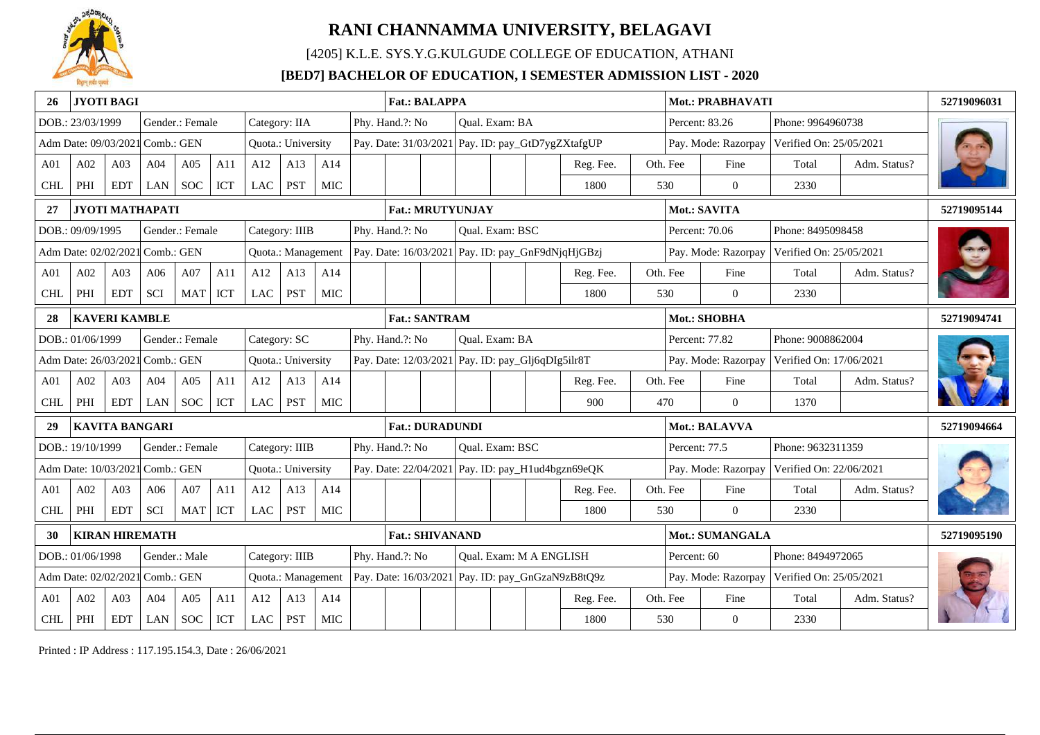

[4205] K.L.E. SYS.Y.G.KULGUDE COLLEGE OF EDUCATION, ATHANI

### **[BED7] BACHELOR OF EDUCATION, I SEMESTER ADMISSION LIST - 2020**

| 26              |                                 | <b>JYOTI BAGI</b>    |                        |                 |            |               |                    |            | <b>Fat.: BALAPPA</b>                                                     |  |  |                 |                                |                                                   |  |               | Mot.: PRABHAVATI    |                         |              | 52719096031 |
|-----------------|---------------------------------|----------------------|------------------------|-----------------|------------|---------------|--------------------|------------|--------------------------------------------------------------------------|--|--|-----------------|--------------------------------|---------------------------------------------------|--|---------------|---------------------|-------------------------|--------------|-------------|
|                 | DOB.: 23/03/1999                |                      |                        | Gender.: Female |            | Category: IIA |                    |            | Phy. Hand.?: No                                                          |  |  | Qual. Exam: BA  |                                |                                                   |  |               | Percent: 83.26      | Phone: 9964960738       |              |             |
|                 | Adm Date: 09/03/2021 Comb.: GEN |                      |                        |                 |            |               | Quota.: University |            |                                                                          |  |  |                 |                                | Pay. Date: 31/03/2021 Pay. ID: pay_GtD7ygZXtafgUP |  |               | Pay. Mode: Razorpay | Verified On: 25/05/2021 |              |             |
| A01             | A02                             | A03                  | A04                    | A05             | A11        | A12           | A13                | A14        |                                                                          |  |  |                 |                                | Reg. Fee.                                         |  | Oth. Fee      | Fine                | Total                   | Adm. Status? |             |
| <b>CHL</b>      | PHI                             | <b>EDT</b>           | LAN                    | <b>SOC</b>      | <b>ICT</b> | LAC           | <b>PST</b>         | <b>MIC</b> |                                                                          |  |  |                 |                                | 1800                                              |  | 530           | $\overline{0}$      | 2330                    |              |             |
| 27              |                                 |                      | <b>JYOTI MATHAPATI</b> |                 |            |               |                    |            | <b>Fat.: MRUTYUNJAY</b>                                                  |  |  |                 |                                |                                                   |  |               | Mot.: SAVITA        |                         |              | 52719095144 |
|                 | DOB.: 09/09/1995                |                      |                        | Gender.: Female |            |               | Category: IIIB     |            | Phy. Hand.?: No                                                          |  |  | Qual. Exam: BSC |                                |                                                   |  |               | Percent: 70.06      | Phone: 8495098458       |              |             |
|                 | Adm Date: 02/02/2021 Comb.: GEN |                      |                        |                 |            |               | Quota.: Management |            |                                                                          |  |  |                 |                                | Pay. Date: 16/03/2021 Pay. ID: pay_GnF9dNjqHjGBzj |  |               | Pay. Mode: Razorpay | Verified On: 25/05/2021 |              |             |
| A <sub>01</sub> | A02                             | A03                  | A06                    | A07             | A11        | A12           | A13                | A14        |                                                                          |  |  |                 |                                | Reg. Fee.                                         |  | Oth. Fee      | Fine                | Total                   | Adm. Status? |             |
| <b>CHL</b>      | PHI                             | <b>EDT</b>           | SCI                    | <b>MAT</b>      | ICT        | <b>LAC</b>    | <b>PST</b>         | <b>MIC</b> |                                                                          |  |  |                 |                                | 1800                                              |  | 530           | $\overline{0}$      | 2330                    |              |             |
| 28              |                                 | <b>KAVERI KAMBLE</b> |                        |                 |            |               |                    |            | Mot.: SHOBHA<br><b>Fat.: SANTRAM</b>                                     |  |  |                 |                                |                                                   |  |               |                     |                         |              | 52719094741 |
|                 | DOB.: 01/06/1999                |                      |                        | Gender.: Female |            | Category: SC  |                    |            | Phy. Hand.?: No<br>Phone: 9008862004<br>Qual. Exam: BA<br>Percent: 77.82 |  |  |                 |                                |                                                   |  |               |                     |                         |              |             |
|                 | Adm Date: 26/03/2021            |                      | $\mathsf{Comb}$ : GEN  |                 |            |               | Quota.: University |            | Pay. Date: 12/03/2021 Pay. ID: pay_Glj6qDIg5ilr8T                        |  |  |                 |                                |                                                   |  |               | Pay. Mode: Razorpay | Verified On: 17/06/2021 |              |             |
| A <sub>01</sub> | A02                             | A <sub>03</sub>      | A04                    | A05             | A11        | A12           | A13                | A14        |                                                                          |  |  |                 |                                | Reg. Fee.                                         |  | Oth. Fee      | Fine                | Total                   | Adm. Status? |             |
| <b>CHL</b>      | PHI                             | <b>EDT</b>           | LAN                    | <b>SOC</b>      | <b>ICT</b> | LAC           | <b>PST</b>         | MIC        |                                                                          |  |  |                 |                                | 900                                               |  | 470           | $\theta$            | 1370                    |              |             |
| 29              |                                 |                      | <b>KAVITA BANGARI</b>  |                 |            |               |                    |            | <b>Fat.: DURADUNDI</b>                                                   |  |  |                 |                                |                                                   |  |               | Mot.: BALAVVA       |                         |              | 52719094664 |
|                 | DOB.: 19/10/1999                |                      |                        | Gender.: Female |            |               | Category: IIIB     |            | Phy. Hand.?: No                                                          |  |  | Qual. Exam: BSC |                                |                                                   |  | Percent: 77.5 |                     | Phone: 9632311359       |              |             |
|                 | Adm Date: 10/03/2021            |                      | $\mathsf{Comb}$ : GEN  |                 |            |               | Quota.: University |            |                                                                          |  |  |                 |                                | Pay. Date: 22/04/2021 Pay. ID: pay_H1ud4bgzn69eQK |  |               | Pay. Mode: Razorpay | Verified On: 22/06/2021 |              |             |
| A <sub>01</sub> | A02                             | A03                  | A06                    | A07             | A11        | A12           | A13                | A14        |                                                                          |  |  |                 |                                | Reg. Fee.                                         |  | Oth. Fee      | Fine                | Total                   | Adm. Status? |             |
| <b>CHL</b>      | PHI                             | <b>EDT</b>           | SCI                    | <b>MAT</b>      | ICT        | <b>LAC</b>    | <b>PST</b>         | <b>MIC</b> |                                                                          |  |  |                 |                                | 1800                                              |  | 530           | $\Omega$            | 2330                    |              |             |
|                 |                                 |                      | <b>KIRAN HIREMATH</b>  |                 |            |               |                    |            | <b>Fat.: SHIVANAND</b><br>Mot.: SUMANGALA                                |  |  |                 |                                |                                                   |  |               |                     | 52719095190             |              |             |
|                 | DOB.: 01/06/1998                |                      |                        | Gender.: Male   |            |               | Category: IIIB     |            | Phy. Hand.?: No                                                          |  |  |                 | <b>Oual. Exam: M A ENGLISH</b> |                                                   |  | Percent: 60   |                     | Phone: 8494972065       |              |             |
|                 | Adm Date: 02/02/2021            |                      | Comb.: GEN             |                 |            |               | Quota.: Management |            |                                                                          |  |  |                 |                                | Pay. Date: 16/03/2021 Pay. ID: pay_GnGzaN9zB8tQ9z |  |               | Pay. Mode: Razorpay | Verified On: 25/05/2021 |              |             |
| A <sub>01</sub> | A02                             | A03                  | A04                    | A05             | A11        | A12           | A13                | A14        |                                                                          |  |  |                 |                                | Reg. Fee.                                         |  |               | Fine                | Total                   | Adm. Status? |             |
| $\mbox{CHL}$    | PHI                             | <b>EDT</b>           | LAN                    | <b>SOC</b>      | ICT        | <b>LAC</b>    | <b>PST</b>         | <b>MIC</b> | Oth. Fee<br>1800<br>530<br>$\mathbf{0}$<br>2330                          |  |  |                 |                                |                                                   |  |               |                     |                         |              |             |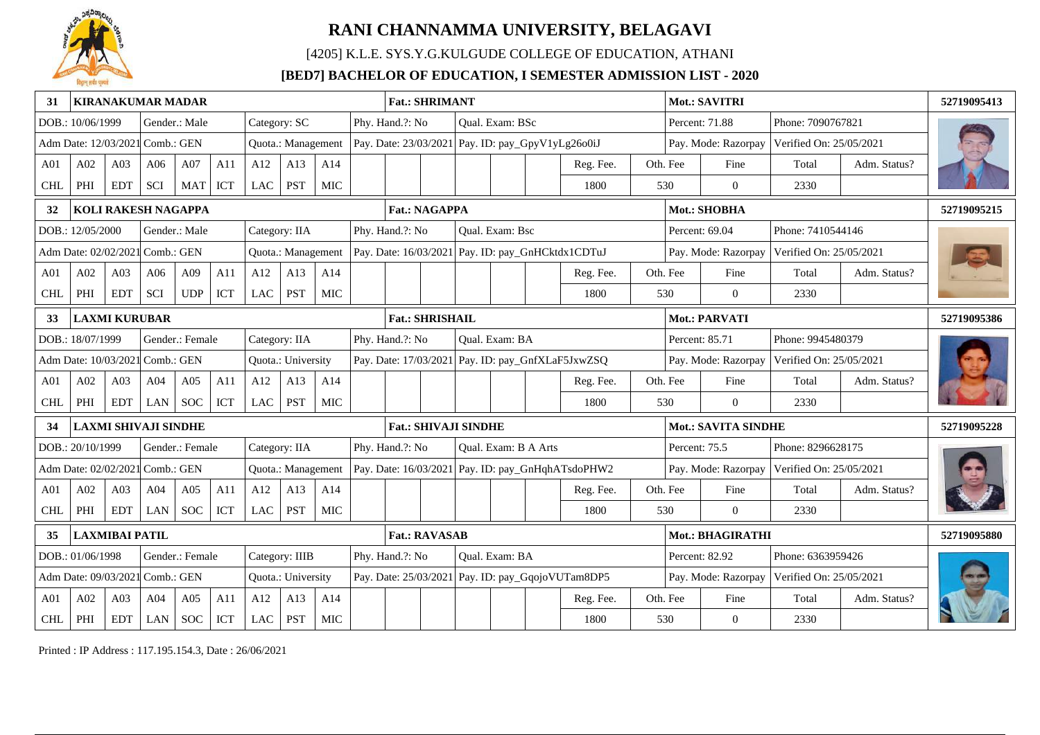

[4205] K.L.E. SYS.Y.G.KULGUDE COLLEGE OF EDUCATION, ATHANI

### **[BED7] BACHELOR OF EDUCATION, I SEMESTER ADMISSION LIST - 2020**

| 31              |                                 |                       | <b>KIRANAKUMAR MADAR</b>    |                     |                      |               |                    |            | <b>Fat.: SHRIMANT</b>       |  |                  |                      |                                                   |               | Mot.: SAVITRI              |                         |              | 52719095413 |
|-----------------|---------------------------------|-----------------------|-----------------------------|---------------------|----------------------|---------------|--------------------|------------|-----------------------------|--|------------------|----------------------|---------------------------------------------------|---------------|----------------------------|-------------------------|--------------|-------------|
|                 | DOB.: 10/06/1999                |                       |                             | Gender.: Male       |                      | Category: SC  |                    |            | Phy. Hand.?: No             |  | Qual. Exam: BSc  |                      |                                                   |               | Percent: 71.88             | Phone: 7090767821       |              |             |
|                 | Adm Date: 12/03/2021 Comb.: GEN |                       |                             |                     |                      |               | Quota.: Management |            |                             |  |                  |                      | Pay. Date: 23/03/2021 Pay. ID: pay_GpyV1yLg26o0iJ |               | Pay. Mode: Razorpay        | Verified On: 25/05/2021 |              |             |
| A01             | A02                             | A03                   | A06                         | A07                 | A11                  | A12           | A13                | A14        |                             |  |                  |                      | Reg. Fee.                                         | Oth. Fee      | Fine                       | Total                   | Adm. Status? |             |
| <b>CHL</b>      | PHI                             | <b>EDT</b>            | SCI                         | <b>MAT</b>          | ICT                  | LAC           | <b>PST</b>         | <b>MIC</b> |                             |  |                  |                      | 1800                                              | 530           | $\overline{0}$             | 2330                    |              |             |
| 32              |                                 |                       |                             | KOLI RAKESH NAGAPPA |                      |               |                    |            | <b>Fat.: NAGAPPA</b>        |  |                  |                      |                                                   |               | Mot.: SHOBHA               |                         |              | 52719095215 |
|                 | DOB.: 12/05/2000                |                       |                             | Gender.: Male       |                      | Category: IIA |                    |            | Phy. Hand.?: No             |  | Qual. Exam: Bsc  |                      |                                                   |               | Percent: 69.04             | Phone: 7410544146       |              |             |
|                 | Adm Date: 02/02/2021 Comb.: GEN |                       |                             |                     |                      |               | Quota.: Management |            |                             |  |                  |                      | Pay. Date: 16/03/2021 Pay. ID: pay_GnHCktdx1CDTuJ |               | Pay. Mode: Razorpay        | Verified On: 25/05/2021 |              |             |
| A <sub>01</sub> | A02                             | A03                   | A06                         | A09                 | A11                  | A12           | A13                | A14        |                             |  |                  |                      | Reg. Fee.                                         | Oth. Fee      | Fine                       | Total                   | Adm. Status? |             |
| <b>CHL</b>      | PHI                             | <b>EDT</b>            | SCI                         | <b>UDP</b>          | ICT                  | <b>LAC</b>    | <b>PST</b>         | <b>MIC</b> |                             |  |                  |                      | 1800                                              | 530           | $\overline{0}$             | 2330                    |              |             |
| 33              |                                 | <b>LAXMI KURUBAR</b>  |                             |                     |                      |               |                    |            | <b>Fat.: SHRISHAIL</b>      |  |                  |                      |                                                   |               | Mot.: PARVATI              |                         |              | 52719095386 |
|                 | DOB.: 18/07/1999                |                       |                             | Gender.: Female     |                      | Category: IIA |                    |            | Phy. Hand.?: No             |  | Qual. Exam: BA   |                      |                                                   |               | Percent: 85.71             | Phone: 9945480379       |              |             |
|                 | Adm Date: 10/03/2021            |                       | $\mathsf{Comb}$ : GEN       |                     |                      |               | Quota.: University |            |                             |  |                  |                      | Pay. Date: 17/03/2021 Pay. ID: pay_GnfXLaF5JxwZSQ |               | Pay. Mode: Razorpay        | Verified On: 25/05/2021 |              |             |
| A <sub>01</sub> | A02                             | A03                   | A04                         | A05                 | A11                  | A12           | A13                | A14        |                             |  |                  |                      | Reg. Fee.                                         | Oth. Fee      | Fine                       | Total                   | Adm. Status? |             |
| <b>CHL</b>      | PHI                             | <b>EDT</b>            | <b>LAN</b>                  | <b>SOC</b>          | <b>ICT</b>           | LAC           | <b>PST</b>         | MIC        |                             |  |                  |                      | 1800                                              | 530           | $\Omega$                   | 2330                    |              |             |
| 34              |                                 |                       | <b>LAXMI SHIVAJI SINDHE</b> |                     |                      |               |                    |            | <b>Fat.: SHIVAJI SINDHE</b> |  |                  |                      |                                                   |               | <b>Mot.: SAVITA SINDHE</b> |                         |              | 52719095228 |
|                 | DOB.: 20/10/1999                |                       |                             | Gender.: Female     |                      | Category: IIA |                    |            | Phy. Hand.?: No             |  |                  | Qual. Exam: B A Arts |                                                   | Percent: 75.5 |                            | Phone: 8296628175       |              |             |
|                 | Adm Date: 02/02/2021            |                       | 1 Comb.: GEN                |                     |                      |               | Quota.: Management |            |                             |  |                  |                      | Pay. Date: 16/03/2021 Pay. ID: pay_GnHqhATsdoPHW2 |               | Pay. Mode: Razorpay        | Verified On: 25/05/2021 |              |             |
| A <sub>01</sub> | A02                             | A03                   | A04                         | A05                 | A11                  | A12           | A13                | A14        |                             |  |                  |                      | Reg. Fee.                                         | Oth. Fee      | Fine                       | Total                   | Adm. Status? |             |
| <b>CHL</b>      | PHI                             | <b>EDT</b>            | LAN                         | <b>SOC</b>          | ICT                  | <b>LAC</b>    | <b>PST</b>         | MIC        |                             |  |                  |                      | 1800                                              | 530           | $\Omega$                   | 2330                    |              |             |
| 35              |                                 | <b>LAXMIBAI PATIL</b> |                             |                     | <b>Fat.: RAVASAB</b> |               |                    |            |                             |  | Mot.: BHAGIRATHI |                      |                                                   | 52719095880   |                            |                         |              |             |
|                 | DOB.: 01/06/1998                |                       |                             | Gender.: Female     |                      |               | Category: IIIB     |            | Phy. Hand.?: No             |  | Oual. Exam: BA   |                      |                                                   |               | Percent: 82.92             | Phone: 6363959426       |              |             |
|                 | Adm Date: 09/03/2021            |                       | Comb.: GEN                  |                     |                      |               | Quota.: University |            |                             |  |                  |                      | Pay. Date: 25/03/2021 Pay. ID: pay_GqojoVUTam8DP5 |               | Pay. Mode: Razorpay        | Verified On: 25/05/2021 |              |             |
| A <sub>01</sub> | A02                             | A03                   | A04                         | A05                 | A11                  | A12           | A13                | A14        |                             |  |                  |                      | Reg. Fee.                                         | Oth. Fee      | Fine                       | Total                   | Adm. Status? |             |
| $\mbox{CHL}$    | PHI                             | <b>EDT</b>            | LAN                         | <b>SOC</b>          | ICT                  | <b>LAC</b>    | <b>PST</b>         | <b>MIC</b> |                             |  |                  |                      | 1800                                              | 530           | $\mathbf{0}$               | 2330                    |              |             |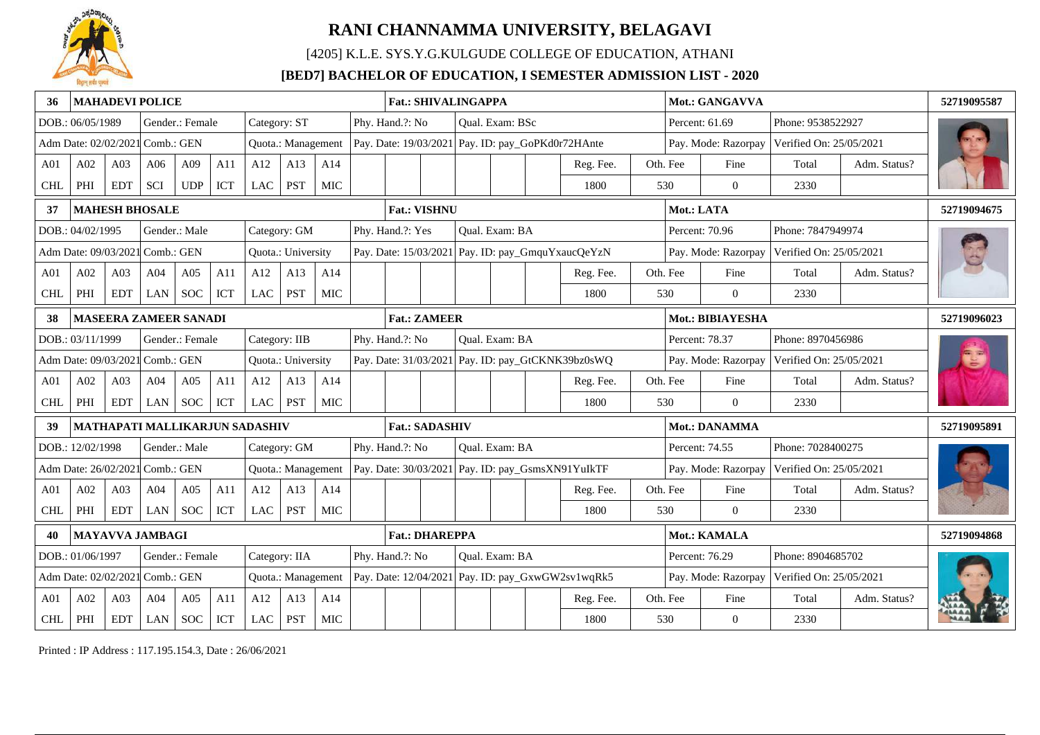

[4205] K.L.E. SYS.Y.G.KULGUDE COLLEGE OF EDUCATION, ATHANI

### **[BED7] BACHELOR OF EDUCATION, I SEMESTER ADMISSION LIST - 2020**

|                 |                                 |                 | <b>MAHADEVI POLICE</b> |                              |     |                                |                    |            | <b>Fat.: SHIVALINGAPPA</b>                                                                            |                                                        |  |                 |  |                                                   |  |            | Mot.: GANGAVVA      |                         |              | 52719095587 |
|-----------------|---------------------------------|-----------------|------------------------|------------------------------|-----|--------------------------------|--------------------|------------|-------------------------------------------------------------------------------------------------------|--------------------------------------------------------|--|-----------------|--|---------------------------------------------------|--|------------|---------------------|-------------------------|--------------|-------------|
|                 | DOB.: 06/05/1989                |                 |                        | Gender.: Female              |     | Category: ST                   |                    |            | Phy. Hand.?: No                                                                                       |                                                        |  | Qual. Exam: BSc |  |                                                   |  |            | Percent: 61.69      | Phone: 9538522927       |              |             |
|                 | Adm Date: 02/02/2021 Comb.: GEN |                 |                        |                              |     |                                | Quota.: Management |            | Pay. Date: 19/03/2021 Pay. ID: pay_GoPKd0r72HAnte                                                     |                                                        |  |                 |  |                                                   |  |            | Pay. Mode: Razorpay | Verified On: 25/05/2021 |              |             |
| A <sub>01</sub> | A02                             | A03             | A06                    | A09                          | A11 | A12                            | A13                | A14        |                                                                                                       |                                                        |  |                 |  | Reg. Fee.                                         |  | Oth. Fee   | Fine                | Total                   | Adm. Status? |             |
| <b>CHL</b>      | PHI                             | <b>EDT</b>      | <b>SCI</b>             | <b>UDP</b>                   | ICT | LAC                            | PST                | MIC        |                                                                                                       |                                                        |  |                 |  | 1800                                              |  | 530        | $\theta$            | 2330                    |              |             |
| 37              |                                 |                 | <b>MAHESH BHOSALE</b>  |                              |     |                                |                    |            | <b>Fat.: VISHNU</b>                                                                                   |                                                        |  |                 |  |                                                   |  | Mot.: LATA |                     |                         |              | 52719094675 |
|                 | DOB.: 04/02/1995                |                 |                        | Gender.: Male                |     |                                | Category: GM       |            | Phy. Hand.?: Yes                                                                                      |                                                        |  | Qual. Exam: BA  |  |                                                   |  |            | Percent: 70.96      | Phone: 7847949974       |              |             |
|                 | Adm Date: 09/03/2021 Comb.: GEN |                 |                        |                              |     |                                | Quota.: University |            |                                                                                                       |                                                        |  |                 |  | Pay. Date: 15/03/2021 Pay. ID: pay_GmquYxaucQeYzN |  |            | Pay. Mode: Razorpay | Verified On: 25/05/2021 |              |             |
| A01             | A02                             | A03             | A04                    | A05                          | A11 | A12                            | A13                | A14        |                                                                                                       |                                                        |  |                 |  | Reg. Fee.                                         |  | Oth. Fee   | Fine                | Total                   | Adm. Status? |             |
| <b>CHL</b>      | PHI                             | <b>EDT</b>      | LAN                    | <b>SOC</b>                   | ICT | LAC                            | <b>PST</b>         | MIC        |                                                                                                       |                                                        |  |                 |  | 1800                                              |  | 530        | $\mathbf{0}$        | 2330                    |              |             |
| 38              |                                 |                 |                        | <b>MASEERA ZAMEER SANADI</b> |     |                                |                    |            | Mot.: BIBIAYESHA<br><b>Fat.: ZAMEER</b>                                                               |                                                        |  |                 |  |                                                   |  |            |                     |                         |              | 52719096023 |
|                 | DOB.: 03/11/1999                |                 |                        | Gender.: Female              |     |                                | Category: IIB      |            | Phy. Hand.?: No                                                                                       |                                                        |  | Qual. Exam: BA  |  |                                                   |  |            | Percent: 78.37      | Phone: 8970456986       |              |             |
|                 | Adm Date: 09/03/2021 Comb.: GEN |                 |                        |                              |     |                                | Quota.: University |            |                                                                                                       |                                                        |  |                 |  | Pay. Date: 31/03/2021 Pay. ID: pay_GtCKNK39bz0sWQ |  |            | Pay. Mode: Razorpay | Verified On: 25/05/2021 |              |             |
| A <sub>01</sub> | A02                             | A03             | A04                    | A05                          | A11 | A12                            | A13                | A14        |                                                                                                       |                                                        |  |                 |  | Reg. Fee.                                         |  | Oth. Fee   | Fine                | Total                   | Adm. Status? |             |
| <b>CHL</b>      | PHI                             | <b>EDT</b>      | <b>LAN</b>             | <b>SOC</b>                   | ICT | LAC                            | <b>PST</b>         | MIC        |                                                                                                       |                                                        |  |                 |  | 1800                                              |  | 530        | $\Omega$            | 2330                    |              |             |
|                 |                                 |                 |                        |                              |     | MATHAPATI MALLIKARJUN SADASHIV |                    |            | <b>Fat.: SADASHIV</b>                                                                                 |                                                        |  |                 |  |                                                   |  |            | Mot.: DANAMMA       |                         |              | 52719095891 |
|                 | DOB.: 12/02/1998                |                 |                        | Gender.: Male                |     |                                | Category: GM       |            | Phy. Hand.?: No                                                                                       |                                                        |  | Qual. Exam: BA  |  |                                                   |  |            | Percent: 74.55      | Phone: 7028400275       |              |             |
|                 | Adm Date: 26/02/2021 Comb.: GEN |                 |                        |                              |     |                                | Quota.: Management |            |                                                                                                       |                                                        |  |                 |  | Pay. Date: 30/03/2021 Pay. ID: pay_GsmsXN91YuIkTF |  |            | Pay. Mode: Razorpay | Verified On: 25/05/2021 |              |             |
| A <sub>01</sub> | A02                             | A <sub>03</sub> | A <sub>04</sub>        | A05                          | A11 | A12                            | A13                | A14        |                                                                                                       |                                                        |  |                 |  | Reg. Fee.                                         |  | Oth. Fee   | Fine                | Total                   | Adm. Status? |             |
| <b>CHL</b>      | PHI                             | <b>EDT</b>      | LAN                    | <b>SOC</b>                   | ICT | LAC                            | <b>PST</b>         | MIC        |                                                                                                       |                                                        |  |                 |  | 1800                                              |  | 530        | $\mathbf{0}$        | 2330                    |              |             |
|                 |                                 |                 | MAYAVVA JAMBAGI        |                              |     |                                |                    |            | <b>Fat.: DHAREPPA</b><br>Mot.: KAMALA                                                                 |                                                        |  |                 |  |                                                   |  |            |                     | 52719094868             |              |             |
|                 | DOB.: 01/06/1997                |                 |                        | Gender.: Female              |     |                                | Category: IIA      |            | Phy. Hand.?: No                                                                                       |                                                        |  | Oual. Exam: BA  |  |                                                   |  |            | Percent: 76.29      | Phone: 8904685702       |              |             |
|                 | Adm Date: 02/02/2021            |                 | Comb.: GEN             |                              |     |                                | Quota.: Management |            | Pay. Date: $12/04/2021$ Pay. ID: pay_GxwGW2sv1wqRk5<br>Verified On: 25/05/2021<br>Pay. Mode: Razorpay |                                                        |  |                 |  |                                                   |  |            |                     |                         |              |             |
| A <sub>01</sub> | A02                             | A03             | A04                    | A05                          | A11 | A12                            | A13                | A14        |                                                                                                       | Oth. Fee<br>Fine<br>Total<br>Adm. Status?<br>Reg. Fee. |  |                 |  |                                                   |  |            |                     |                         |              |             |
| <b>CHL</b>      | $\rm PHI$                       | <b>EDT</b>      | LAN                    | <b>SOC</b>                   | ICT | <b>LAC</b>                     | PST                | <b>MIC</b> | 1800<br>$\mathbf{0}$<br>530<br>2330                                                                   |                                                        |  |                 |  |                                                   |  |            |                     |                         |              |             |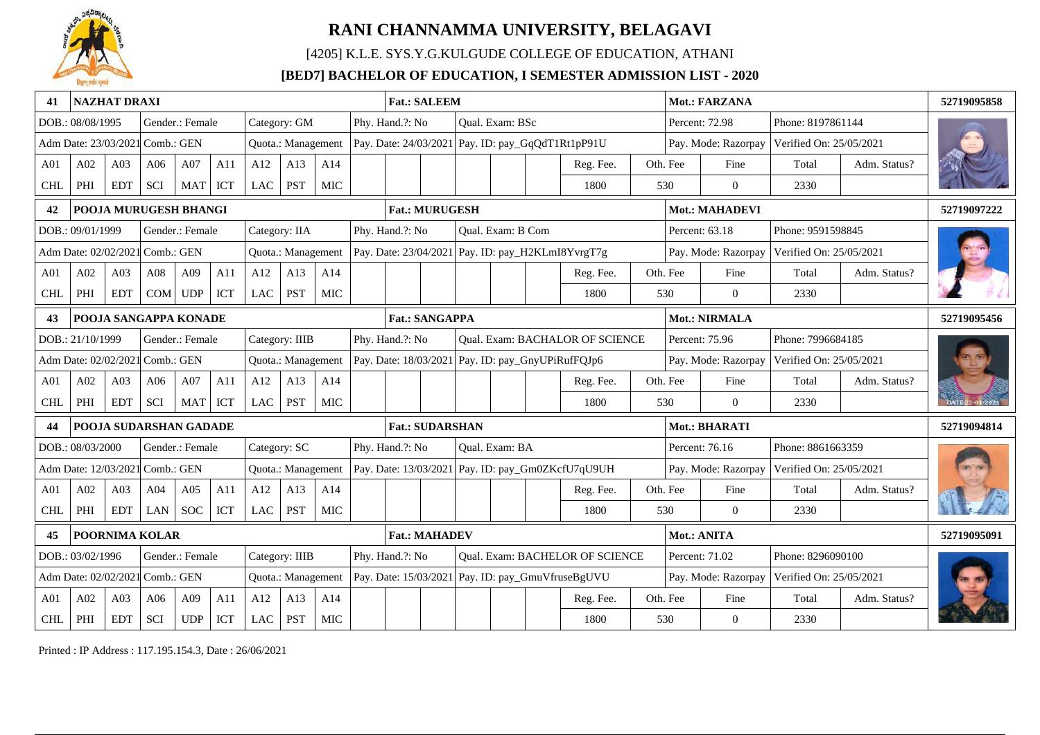

[4205] K.L.E. SYS.Y.G.KULGUDE COLLEGE OF EDUCATION, ATHANI

### **[BED7] BACHELOR OF EDUCATION, I SEMESTER ADMISSION LIST - 2020**

| 41              | NAZHAT DRAXI                    |                 |                        |                                    |     |               |                    |            | <b>Fat.: SALEEM</b>    |  |                        |                                                   |          | Mot.: FARZANA        |                         |              | 52719095858 |
|-----------------|---------------------------------|-----------------|------------------------|------------------------------------|-----|---------------|--------------------|------------|------------------------|--|------------------------|---------------------------------------------------|----------|----------------------|-------------------------|--------------|-------------|
|                 | DOB.: 08/08/1995                |                 |                        | Gender.: Female                    |     |               | Category: GM       |            | Phy. Hand.?: No        |  | <b>Oual. Exam: BSc</b> |                                                   |          | Percent: 72.98       | Phone: 8197861144       |              |             |
|                 | Adm Date: 23/03/2021 Comb.: GEN |                 |                        |                                    |     |               | Quota.: Management |            |                        |  |                        | Pay. Date: 24/03/2021 Pay. ID: pay_GqQdT1Rt1pP91U |          | Pay. Mode: Razorpay  | Verified On: 25/05/2021 |              |             |
| A <sub>01</sub> | A02                             | A03             | A06                    | A07                                | A11 | A12           | A13                | A14        |                        |  |                        | Reg. Fee.                                         | Oth. Fee | Fine                 | Total                   | Adm. Status? |             |
| <b>CHL</b>      | PHI                             | <b>EDT</b>      | <b>SCI</b>             | MAT                                | ICT | LAC           | <b>PST</b>         | MIC        |                        |  |                        | 1800                                              | 530      | $\overline{0}$       | 2330                    |              |             |
| 42              |                                 |                 | POOJA MURUGESH BHANGI  |                                    |     |               |                    |            | <b>Fat.: MURUGESH</b>  |  |                        |                                                   |          | Mot.: MAHADEVI       |                         |              | 52719097222 |
|                 | DOB.: 09/01/1999                |                 |                        | Gender.: Female                    |     | Category: IIA |                    |            | Phy. Hand.?: No        |  | Qual. Exam: B Com      |                                                   |          | Percent: 63.18       | Phone: 9591598845       |              |             |
|                 | Adm Date: 02/02/2021 Comb.: GEN |                 |                        |                                    |     |               | Quota.: Management |            |                        |  |                        | Pay. Date: 23/04/2021 Pay. ID: pay_H2KLmI8YvrgT7g |          | Pay. Mode: Razorpay  | Verified On: 25/05/2021 |              |             |
| A <sub>01</sub> | A02                             | A <sub>03</sub> | A <sub>08</sub>        | A09                                | A11 | A12           | A13                | A14        |                        |  |                        | Reg. Fee.                                         | Oth. Fee | Fine                 | Total                   | Adm. Status? |             |
| <b>CHL</b>      | PHI                             | <b>EDT</b>      | <b>COM</b>             | <b>UDP</b>                         | ICT | <b>LAC</b>    | <b>PST</b>         | MIC        |                        |  |                        | 1800                                              | 530      | $\overline{0}$       | 2330                    |              |             |
| 43              |                                 |                 | POOJA SANGAPPA KONADE  |                                    |     |               |                    |            | <b>Fat.: SANGAPPA</b>  |  |                        |                                                   |          | <b>Mot.: NIRMALA</b> |                         |              | 52719095456 |
|                 | DOB.: 21/10/1999                |                 |                        | Gender.: Female                    |     |               | Category: IIIB     |            | Phy. Hand.?: No        |  |                        | Qual. Exam: BACHALOR OF SCIENCE                   |          | Percent: 75.96       | Phone: 7996684185       |              |             |
|                 | Adm Date: 02/02/2021 Comb.: GEN |                 |                        |                                    |     |               | Quota.: Management |            |                        |  |                        | Pay. Date: 18/03/2021 Pay. ID: pay_GnyUPiRufFQJp6 |          | Pay. Mode: Razorpay  | Verified On: 25/05/2021 |              |             |
| A <sub>01</sub> | A02                             | A03             | A06                    | A07                                | A11 | A12           | A13                | A14        |                        |  |                        | Reg. Fee.                                         | Oth. Fee | Fine                 | Total                   | Adm. Status? |             |
| <b>CHL</b>      | PHI                             | <b>EDT</b>      | SCI                    | <b>MAT</b>                         | ICT | LAC           | PST                | MIC        |                        |  |                        | 1800                                              | 530      | $\theta$             | 2330                    |              |             |
|                 |                                 |                 | POOJA SUDARSHAN GADADE |                                    |     |               |                    |            | <b>Fat.: SUDARSHAN</b> |  |                        |                                                   |          | Mot.: BHARATI        |                         |              | 52719094814 |
|                 | DOB.: 08/03/2000                |                 |                        | Gender.: Female                    |     |               | Category: SC       |            | Phy. Hand.?: No        |  | Qual. Exam: BA         |                                                   |          | Percent: 76.16       | Phone: 8861663359       |              |             |
|                 | Adm Date: 12/03/2021 Comb.: GEN |                 |                        |                                    |     |               | Quota.: Management |            |                        |  |                        | Pay. Date: 13/03/2021 Pay. ID: pay_Gm0ZKcfU7qU9UH |          | Pay. Mode: Razorpay  | Verified On: 25/05/2021 |              |             |
| A <sub>01</sub> | A02                             | A03             | A04                    | A05                                | A11 | A12           | A13                | A14        |                        |  |                        | Reg. Fee.                                         | Oth. Fee | Fine                 | Total                   | Adm. Status? |             |
| <b>CHL</b>      | PHI                             | <b>EDT</b>      | LAN                    | <b>SOC</b>                         | ICT | <b>LAC</b>    | <b>PST</b>         | <b>MIC</b> |                        |  |                        | 1800                                              | 530      | $\Omega$             | 2330                    |              |             |
|                 |                                 |                 | POORNIMA KOLAR         |                                    |     |               |                    |            | <b>Fat.: MAHADEV</b>   |  |                        |                                                   |          | Mot.: ANITA          |                         |              | 52719095091 |
|                 | DOB.: 03/02/1996                |                 |                        | Gender.: Female                    |     |               | Category: IIIB     |            | Phy. Hand.?: No        |  |                        | Qual. Exam: BACHELOR OF SCIENCE                   |          | Percent: 71.02       | Phone: 8296090100       |              |             |
|                 | Adm Date: 02/02/202             |                 | Comb.: GEN             |                                    |     |               | Quota.: Management |            |                        |  |                        | Pay. Date: 15/03/2021 Pay. ID: pay_GmuVfruseBgUVU |          | Pay. Mode: Razorpay  | Verified On: 25/05/2021 |              |             |
| A <sub>01</sub> | A02                             | A03             | A06                    | A09                                | A11 | A12           | A13                | A14        |                        |  |                        | Reg. Fee.                                         | Oth. Fee | Fine                 | Total                   | Adm. Status? |             |
| <b>CHL</b>      | $\rm PHI$                       | <b>EDT</b>      | SCI                    | $\ensuremath{\mathsf{UDP}}\xspace$ | ICT | <b>LAC</b>    | <b>PST</b>         | <b>MIC</b> |                        |  |                        | 1800                                              | 530      | $\overline{0}$       | 2330                    |              |             |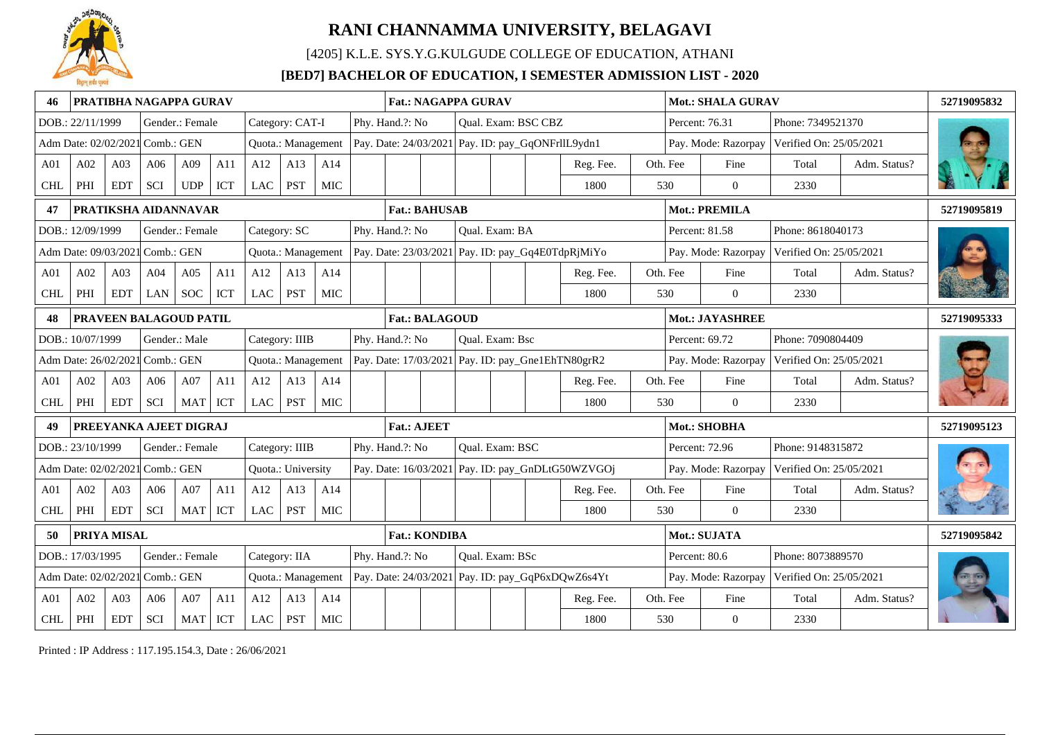

[4205] K.L.E. SYS.Y.G.KULGUDE COLLEGE OF EDUCATION, ATHANI

### **[BED7] BACHELOR OF EDUCATION, I SEMESTER ADMISSION LIST - 2020**

|                 |                                 |             |            | PRATIBHA NAGAPPA GURAV |     |              |                    |            |  | <b>Fat.: NAGAPPA GURAV</b> |  |                        |                     |                                                   |               | Mot.: SHALA GURAV   |                         |              | 52719095832 |
|-----------------|---------------------------------|-------------|------------|------------------------|-----|--------------|--------------------|------------|--|----------------------------|--|------------------------|---------------------|---------------------------------------------------|---------------|---------------------|-------------------------|--------------|-------------|
|                 | DOB.: 22/11/1999                |             |            | Gender.: Female        |     |              | Category: CAT-I    |            |  | Phy. Hand.?: No            |  |                        | Qual. Exam: BSC CBZ |                                                   |               | Percent: 76.31      | Phone: 7349521370       |              |             |
|                 | Adm Date: 02/02/2021 Comb.: GEN |             |            |                        |     |              | Quota.: Management |            |  |                            |  |                        |                     | Pay. Date: 24/03/2021 Pay. ID: pay_GqONFrllL9ydn1 |               | Pay. Mode: Razorpay | Verified On: 25/05/2021 |              |             |
| A <sub>01</sub> | A02                             | A03         | A06        | A09                    | A11 | A12          | A13                | A14        |  |                            |  |                        |                     | Reg. Fee.                                         | Oth. Fee      | Fine                | Total                   | Adm. Status? |             |
| <b>CHL</b>      | PHI                             | <b>EDT</b>  | SCI        | <b>UDP</b>             | ICT | LAC          | <b>PST</b>         | <b>MIC</b> |  |                            |  |                        |                     | 1800                                              | 530           | $\theta$            | 2330                    |              |             |
| 47              |                                 |             |            | PRATIKSHA AIDANNAVAR   |     |              |                    |            |  | <b>Fat.: BAHUSAB</b>       |  |                        |                     |                                                   |               | Mot.: PREMILA       |                         |              | 52719095819 |
|                 | DOB.: 12/09/1999                |             |            | Gender.: Female        |     | Category: SC |                    |            |  | Phy. Hand.?: No            |  | Qual. Exam: BA         |                     |                                                   |               | Percent: 81.58      | Phone: 8618040173       |              |             |
|                 | Adm Date: 09/03/2021 Comb.: GEN |             |            |                        |     |              | Quota.: Management |            |  |                            |  |                        |                     | Pay. Date: 23/03/2021 Pay. ID: pay_Gq4E0TdpRjMiYo |               | Pay. Mode: Razorpay | Verified On: 25/05/2021 |              |             |
| A01             | A02                             | A03         | A04        | A05                    | A11 | A12          | A13                | A14        |  |                            |  |                        |                     | Reg. Fee.                                         | Oth. Fee      | Fine                | Total                   | Adm. Status? |             |
| <b>CHL</b>      | PHI                             | <b>EDT</b>  | LAN        | <b>SOC</b>             | ICT | <b>LAC</b>   | <b>PST</b>         | <b>MIC</b> |  |                            |  |                        |                     | 1800                                              | 530           | $\overline{0}$      | 2330                    |              |             |
| 48              |                                 |             |            | PRAVEEN BALAGOUD PATIL |     |              |                    |            |  | <b>Fat.: BALAGOUD</b>      |  |                        |                     |                                                   |               | Mot.: JAYASHREE     |                         |              | 52719095333 |
|                 | DOB.: 10/07/1999                |             |            | Gender.: Male          |     |              | Category: IIIB     |            |  | Phy. Hand.?: No            |  | <b>Oual.</b> Exam: Bsc |                     |                                                   |               | Percent: 69.72      | Phone: 7090804409       |              |             |
|                 | Adm Date: 26/02/2021 Comb.: GEN |             |            |                        |     |              | Quota.: Management |            |  |                            |  |                        |                     | Pay. Date: 17/03/2021 Pay. ID: pay_Gne1EhTN80grR2 |               | Pay. Mode: Razorpay | Verified On: 25/05/2021 |              |             |
| A01             | A02                             | A03         | A06        | A07                    | A11 | A12          | A13                | A14        |  |                            |  |                        |                     | Reg. Fee.                                         | Oth. Fee      | Fine                | Total                   | Adm. Status? |             |
| <b>CHL</b>      | PHI                             | <b>EDT</b>  | SCI        | <b>MAT</b>             | ICT | LAC          | <b>PST</b>         | <b>MIC</b> |  |                            |  |                        |                     | 1800                                              | 530           | $\Omega$            | 2330                    |              |             |
|                 |                                 |             |            | PREEYANKA AJEET DIGRAJ |     |              |                    |            |  | <b>Fat.: AJEET</b>         |  |                        |                     |                                                   |               | Mot.: SHOBHA        |                         |              | 52719095123 |
|                 | DOB.: 23/10/1999                |             |            | Gender.: Female        |     |              | Category: IIIB     |            |  | Phy. Hand.?: No            |  | Qual. Exam: BSC        |                     |                                                   |               | Percent: 72.96      | Phone: 9148315872       |              |             |
|                 | Adm Date: 02/02/2021            |             | Comb.: GEN |                        |     |              | Quota.: University |            |  |                            |  |                        |                     | Pay. Date: 16/03/2021 Pay. ID: pay_GnDLtG50WZVGOj |               | Pay. Mode: Razorpay | Verified On: 25/05/2021 |              |             |
| A01             | A02                             | A03         | A06        | A07                    | A11 | A12          | A13                | A14        |  |                            |  |                        |                     | Reg. Fee.                                         | Oth. Fee      | Fine                | Total                   | Adm. Status? |             |
| <b>CHL</b>      | PHI                             | <b>EDT</b>  | <b>SCI</b> | <b>MAT</b>             | ICT | <b>LAC</b>   | <b>PST</b>         | <b>MIC</b> |  |                            |  |                        |                     | 1800                                              | 530           | $\mathbf{0}$        | 2330                    |              |             |
| 50              |                                 | PRIYA MISAL |            |                        |     |              |                    |            |  | <b>Fat.: KONDIBA</b>       |  |                        |                     |                                                   |               | Mot.: SUJATA        |                         |              | 52719095842 |
|                 | DOB.: 17/03/1995                |             |            | Gender.: Female        |     |              | Category: IIA      |            |  | Phy. Hand.?: No            |  | Qual. Exam: BSc        |                     |                                                   | Percent: 80.6 |                     | Phone: 8073889570       |              |             |
|                 | Adm Date: 02/02/2021 Comb.: GEN |             |            |                        |     |              | Quota.: Management |            |  |                            |  |                        |                     | Pay. Date: 24/03/2021 Pay. ID: pay_GqP6xDQwZ6s4Yt |               | Pay. Mode: Razorpay | Verified On: 25/05/2021 |              |             |
| A <sub>01</sub> | A02                             | A03         | A06        | A07                    | A11 | A12          | A13                | A14        |  |                            |  |                        |                     | Reg. Fee.                                         | Oth. Fee      | Fine                | Total                   | Adm. Status? |             |
| $\mbox{CHL}$    | PHI                             | <b>EDT</b>  | SCI        | MAT                    | ICT | $_{\rm LAC}$ | PST                | <b>MIC</b> |  |                            |  |                        |                     | 1800                                              | 530           | $\overline{0}$      | 2330                    |              |             |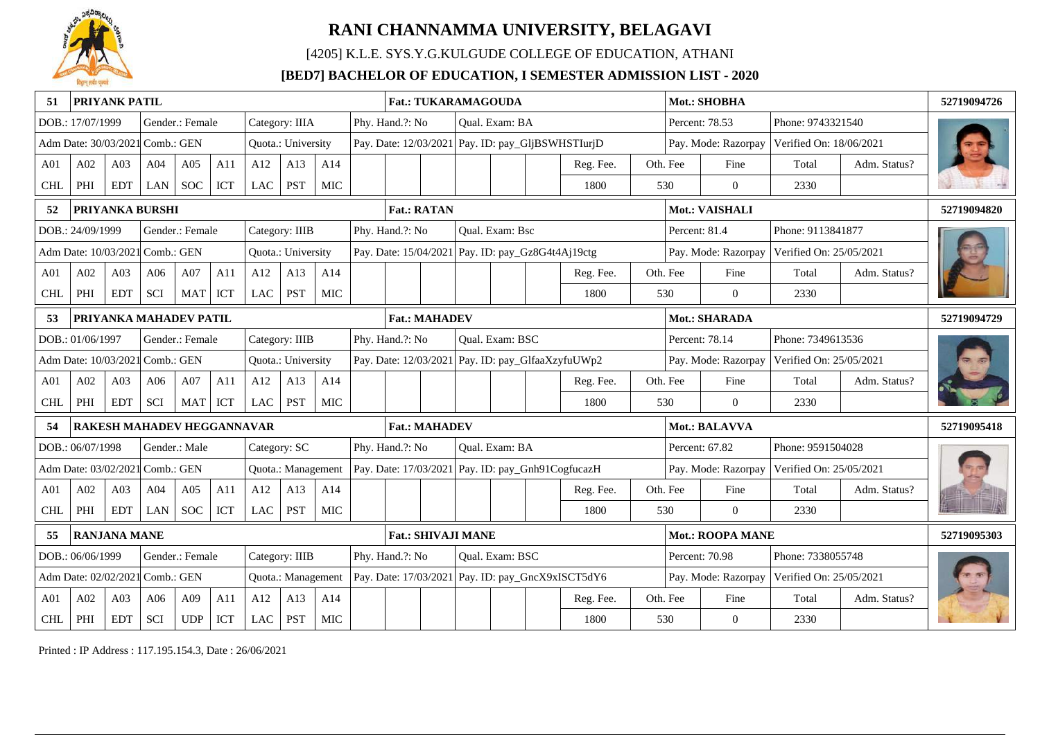

[4205] K.L.E. SYS.Y.G.KULGUDE COLLEGE OF EDUCATION, ATHANI

### **[BED7] BACHELOR OF EDUCATION, I SEMESTER ADMISSION LIST - 2020**

|                 |                                                                                                                                                                 | PRIYANK PATIL       |                                   |                                    |     |            |                    |            |                                                                           | <b>Fat.: TUKARAMAGOUDA</b>                           |                                     |                                                        |                        |  |                                                   |  |               | Mot.: SHOBHA        |                         |              | 52719094726 |
|-----------------|-----------------------------------------------------------------------------------------------------------------------------------------------------------------|---------------------|-----------------------------------|------------------------------------|-----|------------|--------------------|------------|---------------------------------------------------------------------------|------------------------------------------------------|-------------------------------------|--------------------------------------------------------|------------------------|--|---------------------------------------------------|--|---------------|---------------------|-------------------------|--------------|-------------|
|                 | DOB.: 17/07/1999                                                                                                                                                |                     |                                   | Gender.: Female                    |     |            | Category: IIIA     |            |                                                                           | Phy. Hand.?: No                                      |                                     |                                                        | Qual. Exam: BA         |  |                                                   |  |               | Percent: 78.53      | Phone: 9743321540       |              |             |
|                 | Adm Date: 30/03/2021 Comb.: GEN                                                                                                                                 |                     |                                   |                                    |     |            | Quota.: University |            |                                                                           |                                                      |                                     |                                                        |                        |  | Pay. Date: 12/03/2021 Pay. ID: pay_GljBSWHSTIurjD |  |               | Pay. Mode: Razorpay | Verified On: 18/06/2021 |              |             |
| A <sub>01</sub> | A02                                                                                                                                                             | A03                 | A04                               | A05                                | A11 | A12        | A13                | A14        |                                                                           |                                                      |                                     |                                                        |                        |  | Reg. Fee.                                         |  | Oth. Fee      | Fine                | Total                   | Adm. Status? |             |
| <b>CHL</b>      | PHI                                                                                                                                                             | <b>EDT</b>          | <b>LAN</b>                        | <b>SOC</b>                         | ICT | <b>LAC</b> | PST                | <b>MIC</b> |                                                                           |                                                      |                                     |                                                        |                        |  | 1800                                              |  | 530           | $\overline{0}$      | 2330                    |              |             |
| 52              |                                                                                                                                                                 |                     | PRIYANKA BURSHI                   |                                    |     |            |                    |            |                                                                           | <b>Fat.: RATAN</b>                                   |                                     |                                                        |                        |  |                                                   |  |               | Mot.: VAISHALI      |                         |              | 52719094820 |
|                 | DOB.: 24/09/1999                                                                                                                                                |                     |                                   | Gender.: Female                    |     |            | Category: IIIB     |            |                                                                           | Phy. Hand.?: No                                      |                                     |                                                        | <b>Oual.</b> Exam: Bsc |  |                                                   |  | Percent: 81.4 |                     | Phone: 9113841877       |              |             |
|                 | Adm Date: 10/03/2021 Comb.: GEN                                                                                                                                 |                     |                                   |                                    |     |            | Quota.: University |            |                                                                           | Pay. Date: 15/04/2021 Pay. ID: pay_Gz8G4t4Aj19ctg    |                                     |                                                        |                        |  |                                                   |  |               | Pay. Mode: Razorpay | Verified On: 25/05/2021 |              |             |
| A <sub>01</sub> | A02                                                                                                                                                             | A03                 | A06                               | A07                                | A11 | A12        | A13                | A14        |                                                                           |                                                      |                                     |                                                        |                        |  | Reg. Fee.                                         |  | Oth. Fee      | Fine                | Total                   | Adm. Status? |             |
| <b>CHL</b>      | PHI                                                                                                                                                             | <b>EDT</b>          | <b>SCI</b>                        | <b>MAT</b>                         | ICT | <b>LAC</b> | PST                | <b>MIC</b> |                                                                           |                                                      |                                     |                                                        |                        |  | 1800                                              |  | 530           | $\mathbf{0}$        | 2330                    |              |             |
| 53              |                                                                                                                                                                 |                     | PRIYANKA MAHADEV PATIL            |                                    |     |            |                    |            |                                                                           | Mot.: SHARADA<br><b>Fat.: MAHADEV</b>                |                                     |                                                        |                        |  |                                                   |  |               |                     |                         | 52719094729  |             |
|                 | DOB.: 01/06/1997                                                                                                                                                |                     |                                   | Gender.: Female                    |     |            | Category: IIIB     |            | Phy. Hand.?: No<br>Oual. Exam: BSC<br>Percent: 78.14<br>Phone: 7349613536 |                                                      |                                     |                                                        |                        |  |                                                   |  |               |                     |                         |              |             |
|                 | Adm Date: 10/03/2021 Comb.: GEN                                                                                                                                 |                     |                                   |                                    |     |            | Quota.: University |            |                                                                           |                                                      |                                     |                                                        |                        |  | Pay. Date: 12/03/2021 Pay. ID: pay_GlfaaXzyfuUWp2 |  |               | Pay. Mode: Razorpay | Verified On: 25/05/2021 |              |             |
| A01             | A02                                                                                                                                                             | A03                 | A06                               | A07                                | A11 | A12        | A13                | A14        |                                                                           |                                                      |                                     |                                                        |                        |  | Reg. Fee.                                         |  | Oth. Fee      | Fine                | Total                   | Adm. Status? |             |
| <b>CHL</b>      | PHI                                                                                                                                                             | <b>EDT</b>          | <b>SCI</b>                        | <b>MAT</b>                         | ICT | <b>LAC</b> | <b>PST</b>         | <b>MIC</b> |                                                                           |                                                      |                                     |                                                        |                        |  | 1800                                              |  | 530           | $\overline{0}$      | 2330                    |              |             |
| 54              |                                                                                                                                                                 |                     | <b>RAKESH MAHADEV HEGGANNAVAR</b> |                                    |     |            |                    |            |                                                                           | <b>Fat.: MAHADEV</b>                                 |                                     |                                                        |                        |  |                                                   |  |               | Mot.: BALAVVA       |                         |              | 52719095418 |
|                 | DOB.: 06/07/1998                                                                                                                                                |                     |                                   | Gender.: Male                      |     |            | Category: SC       |            |                                                                           | Phy. Hand.?: No                                      |                                     |                                                        | <b>Oual.</b> Exam: BA  |  |                                                   |  |               | Percent: 67.82      | Phone: 9591504028       |              |             |
|                 | Adm Date: 03/02/2021 Comb.: GEN                                                                                                                                 |                     |                                   |                                    |     |            | Quota.: Management |            |                                                                           |                                                      |                                     |                                                        |                        |  | Pay. Date: 17/03/2021 Pay. ID: pay_Gnh91CogfucazH |  |               | Pay. Mode: Razorpay | Verified On: 25/05/2021 |              |             |
| A01             | A02                                                                                                                                                             | A03                 | A04                               | A05                                | A11 | A12        | A13                | A14        |                                                                           |                                                      |                                     |                                                        |                        |  | Reg. Fee.                                         |  | Oth. Fee      | Fine                | Total                   | Adm. Status? |             |
| <b>CHL</b>      | PHI                                                                                                                                                             | <b>EDT</b>          | LAN                               | <b>SOC</b>                         | ICT | LAC        | <b>PST</b>         | <b>MIC</b> |                                                                           |                                                      |                                     |                                                        |                        |  | 1800                                              |  | 530           | $\mathbf{0}$        | 2330                    |              |             |
| 55              |                                                                                                                                                                 | <b>RANJANA MANE</b> |                                   |                                    |     |            |                    |            |                                                                           | <b>Fat.: SHIVAJI MANE</b><br><b>Mot.: ROOPA MANE</b> |                                     |                                                        |                        |  |                                                   |  |               |                     | 52719095303             |              |             |
|                 | DOB.: 06/06/1999                                                                                                                                                |                     |                                   | Gender.: Female                    |     |            | Category: IIIB     |            |                                                                           | Phy. Hand.?: No                                      |                                     |                                                        | Oual. Exam: BSC        |  |                                                   |  |               | Percent: 70.98      | Phone: 7338055748       |              |             |
|                 | Adm Date: 02/02/2021<br>Comb.: GEN<br>Pay. Date: 17/03/2021 Pay. ID: pay_GncX9xISCT5dY6<br>Verified On: 25/05/2021<br>Quota.: Management<br>Pay. Mode: Razorpay |                     |                                   |                                    |     |            |                    |            |                                                                           |                                                      |                                     |                                                        |                        |  |                                                   |  |               |                     |                         |              |             |
| A01             | A02                                                                                                                                                             | A03                 | A06                               | A09                                | A11 | A12        | A13                | A14        |                                                                           |                                                      |                                     | Oth. Fee<br>Fine<br>Total<br>Adm. Status?<br>Reg. Fee. |                        |  |                                                   |  |               |                     |                         |              |             |
| <b>CHL</b>      | PHI                                                                                                                                                             | <b>EDT</b>          | SCI                               | $\ensuremath{\mathsf{UDP}}\xspace$ | ICT | LAC        | <b>PST</b>         | <b>MIC</b> |                                                                           |                                                      | $\mathbf{0}$<br>1800<br>530<br>2330 |                                                        |                        |  |                                                   |  |               |                     |                         |              |             |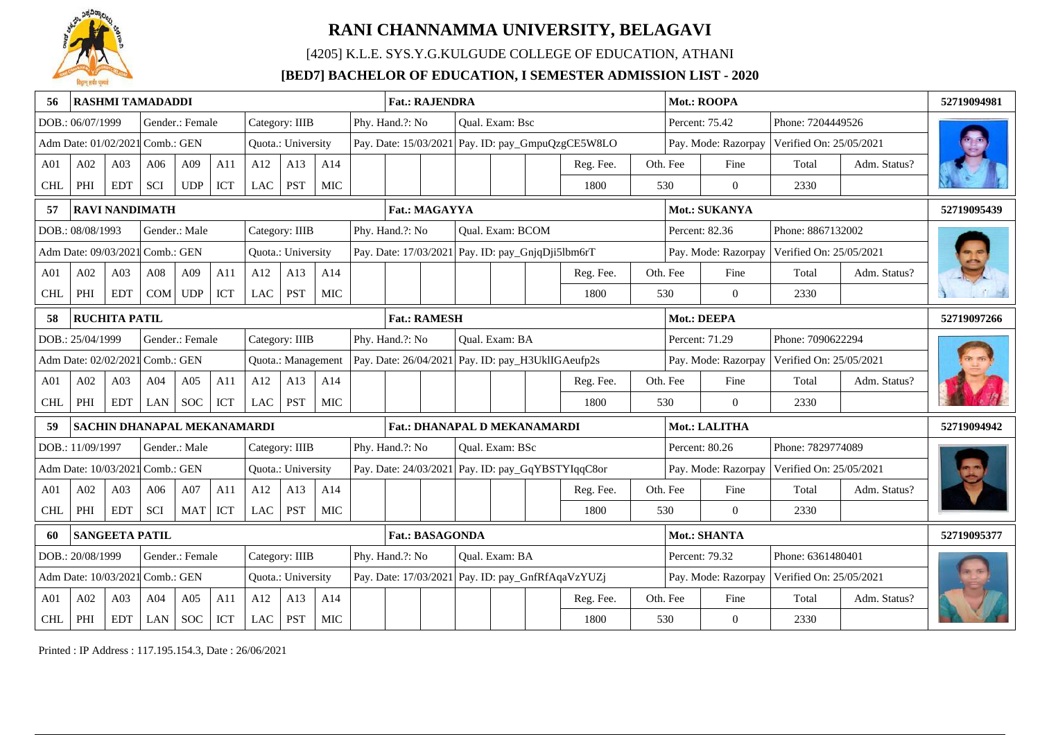

[4205] K.L.E. SYS.Y.G.KULGUDE COLLEGE OF EDUCATION, ATHANI

### **[BED7] BACHELOR OF EDUCATION, I SEMESTER ADMISSION LIST - 2020**

|                 |                                 |                       | <b>RASHMI TAMADADDI</b>     |                      |     |            |                    |            |                                                                                                                | <b>Fat.: RAJENDRA</b>  |  |                  |                                     |                                                   |  |          | Mot.: ROOPA         |                         |              | 52719094981 |
|-----------------|---------------------------------|-----------------------|-----------------------------|----------------------|-----|------------|--------------------|------------|----------------------------------------------------------------------------------------------------------------|------------------------|--|------------------|-------------------------------------|---------------------------------------------------|--|----------|---------------------|-------------------------|--------------|-------------|
|                 | DOB.: 06/07/1999                |                       |                             | Gender.: Female      |     |            | Category: IIIB     |            | Phy. Hand.?: No                                                                                                |                        |  | Qual. Exam: Bsc  |                                     |                                                   |  |          | Percent: 75.42      | Phone: 7204449526       |              |             |
|                 | Adm Date: 01/02/2021 Comb.: GEN |                       |                             |                      |     |            | Quota.: University |            |                                                                                                                |                        |  |                  |                                     | Pay. Date: 15/03/2021 Pay. ID: pay_GmpuQzgCE5W8LO |  |          | Pay. Mode: Razorpay | Verified On: 25/05/2021 |              |             |
| A <sub>01</sub> | A02                             | A03                   | A06                         | A09                  | A11 | A12        | A13                | A14        |                                                                                                                |                        |  |                  |                                     | Reg. Fee.                                         |  | Oth. Fee | Fine                | Total                   | Adm. Status? |             |
| <b>CHL</b>      | PHI                             | <b>EDT</b>            | <b>SCI</b>                  | <b>UDP</b>           | ICT | LAC        | <b>PST</b>         | <b>MIC</b> |                                                                                                                |                        |  |                  |                                     | 1800                                              |  | 530      | $\mathbf{0}$        | 2330                    |              |             |
| 57              |                                 |                       | <b>RAVI NANDIMATH</b>       |                      |     |            |                    |            |                                                                                                                | Fat.: MAGAYYA          |  |                  |                                     |                                                   |  |          | Mot.: SUKANYA       |                         |              | 52719095439 |
|                 | DOB.: 08/08/1993                |                       |                             | Gender.: Male        |     |            | Category: IIIB     |            | Phy. Hand.?: No                                                                                                |                        |  | Qual. Exam: BCOM |                                     |                                                   |  |          | Percent: 82.36      | Phone: 8867132002       |              |             |
|                 | Adm Date: 09/03/2021 Comb.: GEN |                       |                             |                      |     |            | Quota.: University |            |                                                                                                                |                        |  |                  |                                     | Pay. Date: 17/03/2021 Pay. ID: pay_GnjqDji5lbm6rT |  |          | Pay. Mode: Razorpay | Verified On: 25/05/2021 |              |             |
| A <sub>01</sub> | A02                             | A <sub>03</sub>       | A <sub>08</sub>             | A09                  | A11 | A12        | A13                | A14        |                                                                                                                |                        |  |                  |                                     | Reg. Fee.                                         |  | Oth. Fee | Fine                | Total                   | Adm. Status? |             |
| <b>CHL</b>      | PHI                             | <b>EDT</b>            | <b>COM</b>                  | <b>UDP</b>           | ICT | <b>LAC</b> | <b>PST</b>         | <b>MIC</b> |                                                                                                                |                        |  |                  |                                     | 1800                                              |  | 530      | $\Omega$            | 2330                    |              |             |
| 58              |                                 | <b>RUCHITA PATIL</b>  |                             |                      |     |            |                    |            |                                                                                                                |                        |  |                  |                                     |                                                   |  |          |                     |                         |              | 52719097266 |
|                 | DOB.: 25/04/1999                |                       |                             | Gender.: Female      |     |            | Category: IIIB     |            | Mot.: DEEPA<br><b>Fat.: RAMESH</b><br>Phy. Hand.?: No<br>Qual. Exam: BA<br>Percent: 71.29<br>Phone: 7090622294 |                        |  |                  |                                     |                                                   |  |          |                     |                         |              |             |
|                 | Adm Date: 02/02/2021 Comb.: GEN |                       |                             |                      |     |            | Quota.: Management |            |                                                                                                                |                        |  |                  |                                     | Pay. Date: 26/04/2021 Pay. ID: pay_H3UklIGAeufp2s |  |          | Pay. Mode: Razorpay | Verified On: 25/05/2021 |              |             |
| A <sub>01</sub> | A02                             | A03                   | A04                         | A05                  | A11 | A12        | A13                | A14        |                                                                                                                |                        |  |                  |                                     | Reg. Fee.                                         |  | Oth. Fee | Fine                | Total                   | Adm. Status? |             |
| <b>CHL</b>      | PHI                             | <b>EDT</b>            | LAN                         | <b>SOC</b>           | ICT | <b>LAC</b> | PST                | MIC        |                                                                                                                |                        |  |                  |                                     | 1800                                              |  | 530      | $\mathbf{0}$        | 2330                    |              |             |
|                 |                                 |                       | SACHIN DHANAPAL MEKANAMARDI |                      |     |            |                    |            |                                                                                                                |                        |  |                  | <b>Fat.: DHANAPAL D MEKANAMARDI</b> |                                                   |  |          | Mot.: LALITHA       |                         |              | 52719094942 |
|                 | DOB.: 11/09/1997                |                       |                             | Gender.: Male        |     |            | Category: IIIB     |            | Phy. Hand.?: No                                                                                                |                        |  | Qual. Exam: BSc  |                                     |                                                   |  |          | Percent: 80.26      | Phone: 7829774089       |              |             |
|                 | Adm Date: 10/03/2021 Comb.: GEN |                       |                             |                      |     |            | Quota.: University |            |                                                                                                                |                        |  |                  |                                     | Pay. Date: 24/03/2021 Pay. ID: pay_GqYBSTYIqqC8or |  |          | Pay. Mode: Razorpay | Verified On: 25/05/2021 |              |             |
| A01             | A02                             | A03                   | A06                         | A07                  | A11 | A12        | A13                | A14        |                                                                                                                |                        |  |                  |                                     | Reg. Fee.                                         |  | Oth. Fee | Fine                | Total                   | Adm. Status? |             |
| <b>CHL</b>      | PHI                             | <b>EDT</b>            | <b>SCI</b>                  | MAT                  | ICT | <b>LAC</b> | <b>PST</b>         | <b>MIC</b> |                                                                                                                |                        |  |                  |                                     | 1800                                              |  | 530      | $\Omega$            | 2330                    |              |             |
|                 |                                 | <b>SANGEETA PATIL</b> |                             |                      |     |            |                    |            |                                                                                                                | <b>Fat.: BASAGONDA</b> |  |                  |                                     |                                                   |  |          | Mot.: SHANTA        |                         |              | 52719095377 |
|                 | DOB.: 20/08/1999                |                       |                             | Gender.: Female      |     |            | Category: IIIB     |            | Phy. Hand.?: No                                                                                                |                        |  | Qual. Exam: BA   |                                     |                                                   |  |          | Percent: 79.32      | Phone: 6361480401       |              |             |
|                 | Adm Date: 10/03/202             |                       | Comb.: GEN                  |                      |     |            | Quota.: University |            | Pay. Date: 17/03/2021 Pay. ID: pay_GnfRfAqaVzYUZj<br>Pay. Mode: Razorpay<br>Verified On: 25/05/2021            |                        |  |                  |                                     |                                                   |  |          |                     |                         |              |             |
| A <sub>01</sub> | A02                             | A03                   | A04                         | A05                  | A11 | A12        | A13                | A14        |                                                                                                                |                        |  |                  |                                     | Reg. Fee.                                         |  | Oth. Fee | Fine                | Total                   | Adm. Status? |             |
| <b>CHL</b>      | $\rm PHI$                       | <b>EDT</b>            | LAN                         | $\operatorname{SOC}$ | ICT | LAC        | <b>PST</b>         | <b>MIC</b> |                                                                                                                |                        |  |                  |                                     | 1800                                              |  | 530      | $\overline{0}$      | 2330                    |              |             |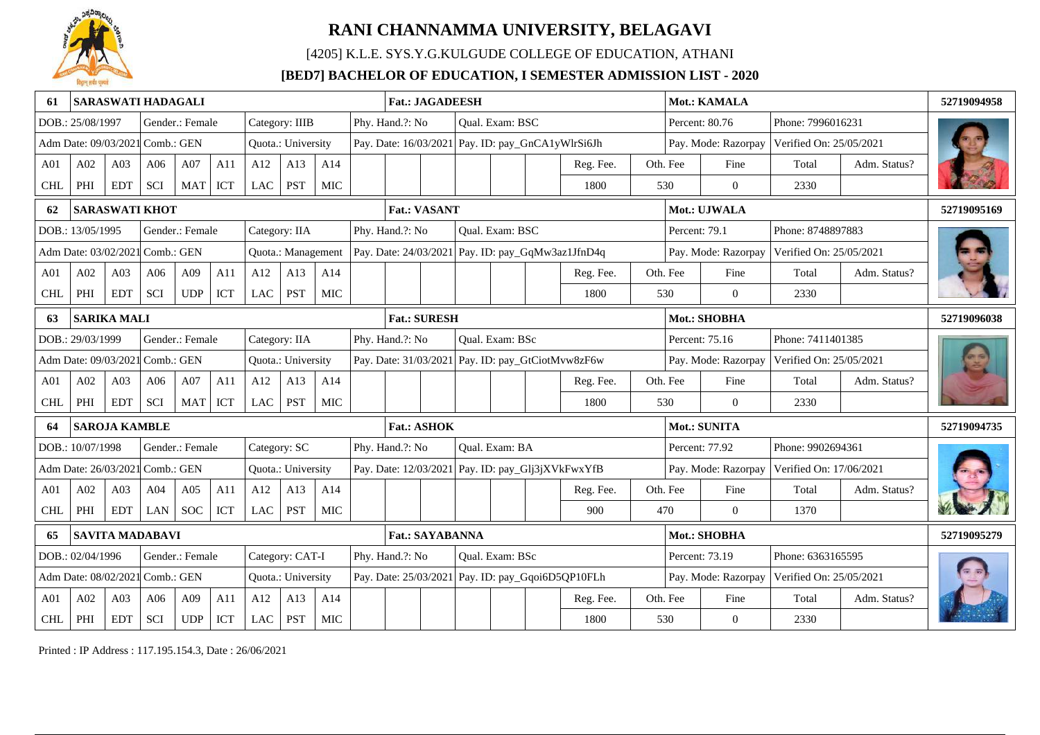

[4205] K.L.E. SYS.Y.G.KULGUDE COLLEGE OF EDUCATION, ATHANI

### **[BED7] BACHELOR OF EDUCATION, I SEMESTER ADMISSION LIST - 2020**

| 61              |                                 | <b>SARASWATI HADAGALI</b>                                |                                                       |                 |     |               |                    |            | <b>Fat.: JAGADEESH</b><br>Phy. Hand.?: No<br>Qual. Exam: BSC |                                                   |                                                   |  |                       |  |           | Mot.: KAMALA        |                         |                     |                         | 52719094958  |             |
|-----------------|---------------------------------|----------------------------------------------------------|-------------------------------------------------------|-----------------|-----|---------------|--------------------|------------|--------------------------------------------------------------|---------------------------------------------------|---------------------------------------------------|--|-----------------------|--|-----------|---------------------|-------------------------|---------------------|-------------------------|--------------|-------------|
|                 | DOB.: 25/08/1997                |                                                          |                                                       | Gender.: Female |     |               | Category: IIIB     |            |                                                              |                                                   |                                                   |  |                       |  |           |                     |                         | Percent: 80.76      | Phone: 7996016231       |              |             |
|                 | Adm Date: 09/03/2021 Comb.: GEN |                                                          |                                                       |                 |     |               | Quota.: University |            |                                                              | Pay. Date: 16/03/2021 Pay. ID: pay_GnCA1yWlrSi6Jh |                                                   |  |                       |  |           |                     |                         | Pay. Mode: Razorpay | Verified On: 25/05/2021 |              |             |
| A01             | A02                             | A03                                                      | A06                                                   | A07             | A11 | A12           | A13                | A14        |                                                              |                                                   |                                                   |  |                       |  | Reg. Fee. |                     | Oth. Fee                | Fine                | Total                   | Adm. Status? |             |
| <b>CHL</b>      | PHI                             | <b>EDT</b>                                               | <b>SCI</b>                                            | <b>MAT</b>      | ICT | LAC           | <b>PST</b>         | <b>MIC</b> |                                                              |                                                   |                                                   |  |                       |  | 1800      |                     | 530                     | $\Omega$            | 2330                    |              |             |
| 62              |                                 | <b>SARASWATI KHOT</b>                                    |                                                       |                 |     |               |                    |            |                                                              | <b>Fat.: VASANT</b>                               |                                                   |  |                       |  |           |                     |                         | Mot.: UJWALA        |                         |              | 52719095169 |
|                 | DOB.: 13/05/1995                |                                                          |                                                       | Gender.: Female |     | Category: IIA |                    |            |                                                              | Phy. Hand.?: No                                   |                                                   |  | Qual. Exam: BSC       |  |           |                     | Percent: 79.1           |                     | Phone: 8748897883       |              |             |
|                 |                                 |                                                          | Adm Date: 03/02/2021 Comb.: GEN<br>Quota.: Management |                 |     |               |                    |            |                                                              |                                                   | Pay. Date: 24/03/2021 Pay. ID: pay_GqMw3az1JfnD4q |  |                       |  |           |                     | Pay. Mode: Razorpay     |                     | Verified On: 25/05/2021 |              |             |
| A <sub>01</sub> | A02                             | A03                                                      | A06                                                   | A09             | A11 | A12           | A13                | A14        |                                                              |                                                   |                                                   |  |                       |  | Reg. Fee. |                     | Oth. Fee                | Fine                | Total                   | Adm. Status? |             |
| <b>CHL</b>      | PHI                             | <b>EDT</b>                                               | SCI                                                   | <b>UDP</b>      | ICT | LAC           | <b>PST</b>         | MIC        |                                                              |                                                   |                                                   |  |                       |  | 1800      |                     | 530                     | $\overline{0}$      | 2330                    |              |             |
| 63              |                                 | <b>SARIKA MALI</b>                                       |                                                       |                 |     |               |                    |            |                                                              | <b>Fat.: SURESH</b>                               |                                                   |  |                       |  |           |                     |                         | Mot.: SHOBHA        |                         |              | 52719096038 |
|                 | DOB.: 29/03/1999                |                                                          |                                                       | Gender.: Female |     |               | Category: IIA      |            |                                                              | Phy. Hand.?: No                                   |                                                   |  | Qual. Exam: BSc       |  |           |                     |                         | Percent: 75.16      | Phone: 7411401385       |              |             |
|                 | Adm Date: 09/03/2021 Comb.: GEN |                                                          |                                                       |                 |     |               | Quota.: University |            |                                                              | Pay. Date: 31/03/2021 Pay. ID: pay_GtCiotMvw8zF6w |                                                   |  |                       |  |           |                     | Pay. Mode: Razorpay     |                     | Verified On: 25/05/2021 |              |             |
| A <sub>01</sub> | A02                             | A <sub>03</sub>                                          | A06                                                   | A07             | A11 | A12           | A13                | A14        |                                                              |                                                   |                                                   |  |                       |  | Reg. Fee. |                     | Oth. Fee                | Fine                | Total                   | Adm. Status? |             |
| <b>CHL</b>      | PHI                             | <b>EDT</b>                                               | SCI                                                   | MAT             | ICT | LAC           | <b>PST</b>         | MIC        |                                                              |                                                   |                                                   |  |                       |  | 1800      |                     | 530                     | $\theta$            | 2330                    |              |             |
|                 |                                 | <b>SAROJA KAMBLE</b>                                     |                                                       |                 |     |               |                    |            |                                                              | <b>Fat.: ASHOK</b>                                |                                                   |  |                       |  |           |                     |                         | Mot.: SUNITA        |                         |              | 52719094735 |
|                 | DOB.: 10/07/1998                |                                                          |                                                       | Gender.: Female |     | Category: SC  |                    |            |                                                              | Phy. Hand.?: No                                   |                                                   |  | <b>Oual.</b> Exam: BA |  |           |                     |                         | Percent: 77.92      | Phone: 9902694361       |              |             |
|                 | Adm Date: 26/03/2021            |                                                          | 1 Comb.: GEN                                          |                 |     |               | Quota.: University |            |                                                              | Pay. Date: 12/03/2021 Pay. ID: pay_Glj3jXVkFwxYfB |                                                   |  |                       |  |           |                     |                         | Pay. Mode: Razorpay | Verified On: 17/06/2021 |              |             |
| A01             | A02                             | A03                                                      | A04                                                   | A05             | A11 | A12           | A13                | A14        |                                                              |                                                   |                                                   |  |                       |  | Reg. Fee. |                     | Oth. Fee                | Fine                | Total                   | Adm. Status? |             |
| <b>CHL</b>      | PHI                             | <b>EDT</b>                                               | LAN                                                   | <b>SOC</b>      | ICT | LAC           | <b>PST</b>         | MIC        |                                                              |                                                   |                                                   |  |                       |  | 900       |                     | 470                     | $\overline{0}$      | 1370                    |              |             |
| 65              |                                 | <b>SAVITA MADABAVI</b>                                   |                                                       |                 |     |               |                    |            | Mot.: SHOBHA<br><b>Fat.: SAYABANNA</b>                       |                                                   |                                                   |  |                       |  |           |                     |                         | 52719095279         |                         |              |             |
|                 | DOB.: 02/04/1996                | Category: CAT-I<br>Gender.: Female                       |                                                       |                 |     |               |                    |            | Phy. Hand.?: No                                              |                                                   | Qual. Exam: BSc                                   |  |                       |  |           |                     | Percent: 73.19          | Phone: 6363165595   |                         |              |             |
|                 |                                 | Comb.: GEN<br>Adm Date: 08/02/2021<br>Quota.: University |                                                       |                 |     |               |                    |            |                                                              |                                                   | Pay. Date: 25/03/2021 Pay. ID: pay_Gqoi6D5QP10FLh |  |                       |  |           | Pay. Mode: Razorpay | Verified On: 25/05/2021 |                     |                         |              |             |
| A01             | A02                             | A03                                                      | A06                                                   | A09             | A11 | A12           | A13                | A14        |                                                              |                                                   |                                                   |  |                       |  | Reg. Fee. |                     | Oth. Fee                | Fine                | Total                   | Adm. Status? |             |
| $\mbox{CHL}$    | PHI                             | <b>EDT</b>                                               | SCI                                                   | UDP             | ICT | $_{\rm LAC}$  | <b>PST</b>         | <b>MIC</b> |                                                              |                                                   |                                                   |  |                       |  | 1800      |                     | 530                     | $\overline{0}$      | 2330                    |              |             |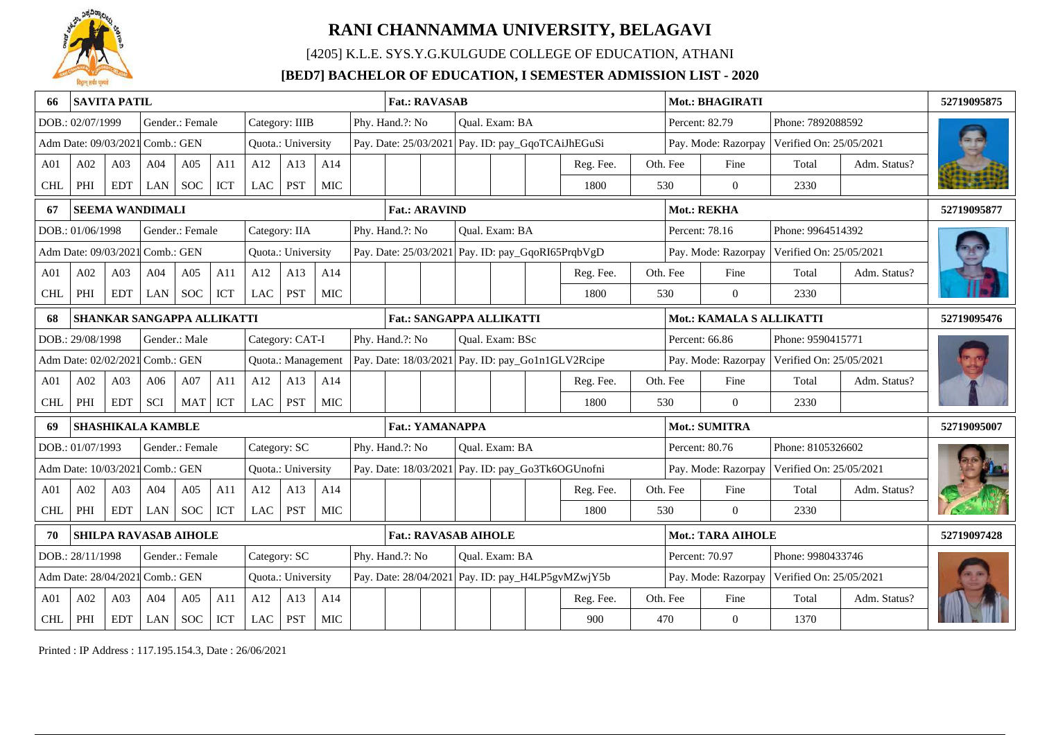

[4205] K.L.E. SYS.Y.G.KULGUDE COLLEGE OF EDUCATION, ATHANI

### **[BED7] BACHELOR OF EDUCATION, I SEMESTER ADMISSION LIST - 2020**

|                 | <b>SAVITA PATIL</b>                                         |                                                       |                            |                 |            |            |                    |                          | <b>Fat.: RAVASAB</b><br>Phy. Hand.?: No<br>Qual. Exam: BA |                        |                                                   |                |                                 |  |                                                   | Mot.: BHAGIRATI |                     |                          |                         | 52719095875  |             |
|-----------------|-------------------------------------------------------------|-------------------------------------------------------|----------------------------|-----------------|------------|------------|--------------------|--------------------------|-----------------------------------------------------------|------------------------|---------------------------------------------------|----------------|---------------------------------|--|---------------------------------------------------|-----------------|---------------------|--------------------------|-------------------------|--------------|-------------|
|                 | DOB.: 02/07/1999                                            |                                                       |                            | Gender.: Female |            |            | Category: IIIB     |                          |                                                           |                        |                                                   |                |                                 |  |                                                   |                 |                     | Percent: 82.79           | Phone: 7892088592       |              |             |
|                 | Adm Date: 09/03/2021 Comb.: GEN                             |                                                       |                            |                 |            |            | Quota.: University |                          |                                                           |                        |                                                   |                |                                 |  | Pay. Date: 25/03/2021 Pay. ID: pay_GqoTCAiJhEGuSi |                 |                     | Pay. Mode: Razorpay      | Verified On: 25/05/2021 |              |             |
| A <sub>01</sub> | A02                                                         | A03                                                   | A04                        | A05             | A11        | A12        | A13                | A14                      |                                                           |                        |                                                   |                |                                 |  | Reg. Fee.                                         |                 | Oth. Fee            | Fine                     | Total                   | Adm. Status? |             |
| <b>CHL</b>      | PHI                                                         | <b>EDT</b>                                            | <b>LAN</b>                 | <b>SOC</b>      | ICT        | LAC        | PST                | <b>MIC</b>               |                                                           |                        |                                                   |                |                                 |  | 1800                                              |                 | 530                 | $\theta$                 | 2330                    |              |             |
| 67              |                                                             |                                                       | <b>SEEMA WANDIMALI</b>     |                 |            |            |                    |                          |                                                           | <b>Fat.: ARAVIND</b>   |                                                   |                |                                 |  |                                                   |                 |                     | Mot.: REKHA              |                         |              | 52719095877 |
|                 | DOB.: 01/06/1998                                            |                                                       |                            | Gender.: Female |            |            | Category: IIA      |                          |                                                           | Phy. Hand.?: No        |                                                   |                | Qual. Exam: BA                  |  |                                                   |                 |                     | Percent: 78.16           | Phone: 9964514392       |              |             |
|                 | Adm Date: 09/03/2021 Comb.: GEN                             |                                                       |                            |                 |            |            | Quota.: University |                          |                                                           |                        |                                                   |                |                                 |  | Pay. Date: 25/03/2021 Pay. ID: pay_GqoRI65PrqbVgD |                 |                     | Pay. Mode: Razorpay      | Verified On: 25/05/2021 |              |             |
| A <sub>01</sub> | A02                                                         | A <sub>03</sub>                                       | A04                        | A05             | A11        | A12        | A13                | A14                      |                                                           |                        |                                                   |                |                                 |  | Reg. Fee.                                         |                 | Oth. Fee            | Fine                     | Total                   | Adm. Status? |             |
| <b>CHL</b>      | PHI                                                         | <b>EDT</b>                                            | LAN                        | <b>SOC</b>      | ICT        | <b>LAC</b> | <b>PST</b>         | <b>MIC</b>               |                                                           |                        |                                                   |                |                                 |  | 1800                                              |                 | 530                 | $\overline{0}$           | 2330                    |              |             |
| 68              |                                                             |                                                       | SHANKAR SANGAPPA ALLIKATTI |                 |            |            |                    |                          |                                                           |                        |                                                   |                | <b>Fat.: SANGAPPA ALLIKATTI</b> |  |                                                   |                 |                     | Mot.: KAMALA S ALLIKATTI |                         |              | 52719095476 |
|                 | DOB.: 29/08/1998                                            |                                                       |                            | Gender.: Male   |            |            | Category: CAT-I    |                          |                                                           | Phy. Hand.?: No        |                                                   |                | Qual. Exam: BSc                 |  |                                                   |                 |                     | Percent: 66.86           | Phone: 9590415771       |              |             |
|                 | Adm Date: 02/02/2021 Comb.: GEN                             |                                                       |                            |                 |            |            | Quota.: Management |                          |                                                           |                        |                                                   |                |                                 |  | Pay. Date: 18/03/2021 Pay. ID: pay_Go1n1GLV2Rcipe |                 | Pay. Mode: Razorpay |                          | Verified On: 25/05/2021 |              |             |
| A <sub>01</sub> | A02                                                         | A03                                                   | A06                        | A07             | A11        | A12        | A13                | A14                      |                                                           |                        |                                                   |                |                                 |  | Reg. Fee.                                         |                 | Oth. Fee            | Fine                     | Total                   | Adm. Status? |             |
| <b>CHL</b>      | PHI                                                         | <b>EDT</b>                                            | <b>SCI</b>                 | <b>MAT</b>      | <b>ICT</b> | <b>LAC</b> | <b>PST</b>         | <b>MIC</b>               |                                                           |                        |                                                   |                |                                 |  | 1800                                              |                 | 530                 | $\theta$                 | 2330                    |              |             |
| 69              |                                                             |                                                       | <b>SHASHIKALA KAMBLE</b>   |                 |            |            |                    |                          |                                                           | <b>Fat.: YAMANAPPA</b> |                                                   |                |                                 |  |                                                   |                 |                     | Mot.: SUMITRA            |                         |              | 52719095007 |
|                 | DOB.: 01/07/1993                                            |                                                       |                            | Gender.: Female |            |            | Category: SC       |                          |                                                           | Phy. Hand.?: No        |                                                   |                | Qual. Exam: BA                  |  |                                                   |                 |                     | Percent: 80.76           | Phone: 8105326602       |              |             |
|                 | Adm Date: 10/03/2021 Comb.: GEN                             |                                                       |                            |                 |            |            | Quota.: University |                          |                                                           |                        |                                                   |                |                                 |  | Pay. Date: 18/03/2021 Pay. ID: pay_Go3Tk6OGUnofni |                 |                     | Pay. Mode: Razorpay      | Verified On: 25/05/2021 |              |             |
| A <sub>01</sub> | A02                                                         | A03                                                   | A04                        | A05             | A11        | A12        | A13                | A14                      |                                                           |                        |                                                   |                |                                 |  | Reg. Fee.                                         |                 | Oth. Fee            | Fine                     | Total                   | Adm. Status? |             |
| <b>CHL</b>      | PHI                                                         | <b>EDT</b>                                            | LAN                        | <b>SOC</b>      | ICT        | <b>LAC</b> | <b>PST</b>         | MIC                      |                                                           |                        |                                                   |                |                                 |  | 1800                                              |                 | 530                 | $\theta$                 | 2330                    |              |             |
|                 | <b>SHILPA RAVASAB AIHOLE</b><br><b>Fat.: RAVASAB AIHOLE</b> |                                                       |                            |                 |            |            |                    | <b>Mot.: TARA AIHOLE</b> |                                                           |                        |                                                   | 52719097428    |                                 |  |                                                   |                 |                     |                          |                         |              |             |
|                 |                                                             | Category: SC<br>DOB.: 28/11/1998<br>Gender.: Female   |                            |                 |            |            |                    | Phy. Hand.?: No          |                                                           |                        |                                                   | Qual. Exam: BA |                                 |  |                                                   |                 | Percent: 70.97      | Phone: 9980433746        |                         |              |             |
|                 |                                                             | Adm Date: 28/04/2021 Comb.: GEN<br>Quota.: University |                            |                 |            |            |                    |                          |                                                           |                        | Pay. Date: 28/04/2021 Pay. ID: pay_H4LP5gvMZwjY5b |                |                                 |  |                                                   |                 | Pay. Mode: Razorpay | Verified On: 25/05/2021  |                         |              |             |
| A <sub>01</sub> | A02                                                         | A03                                                   | A04                        | A05             | A11        | A12        | A13                | A14                      |                                                           |                        |                                                   |                |                                 |  | Reg. Fee.                                         |                 | Oth. Fee            | Fine                     | Total                   | Adm. Status? |             |
| $\mbox{CHL}$    | PHI                                                         | <b>EDT</b>                                            | LAN                        | <b>SOC</b>      | ICT        | <b>LAC</b> | <b>PST</b>         | <b>MIC</b>               |                                                           |                        |                                                   |                |                                 |  | 900                                               |                 | 470                 | $\overline{0}$           | 1370                    |              |             |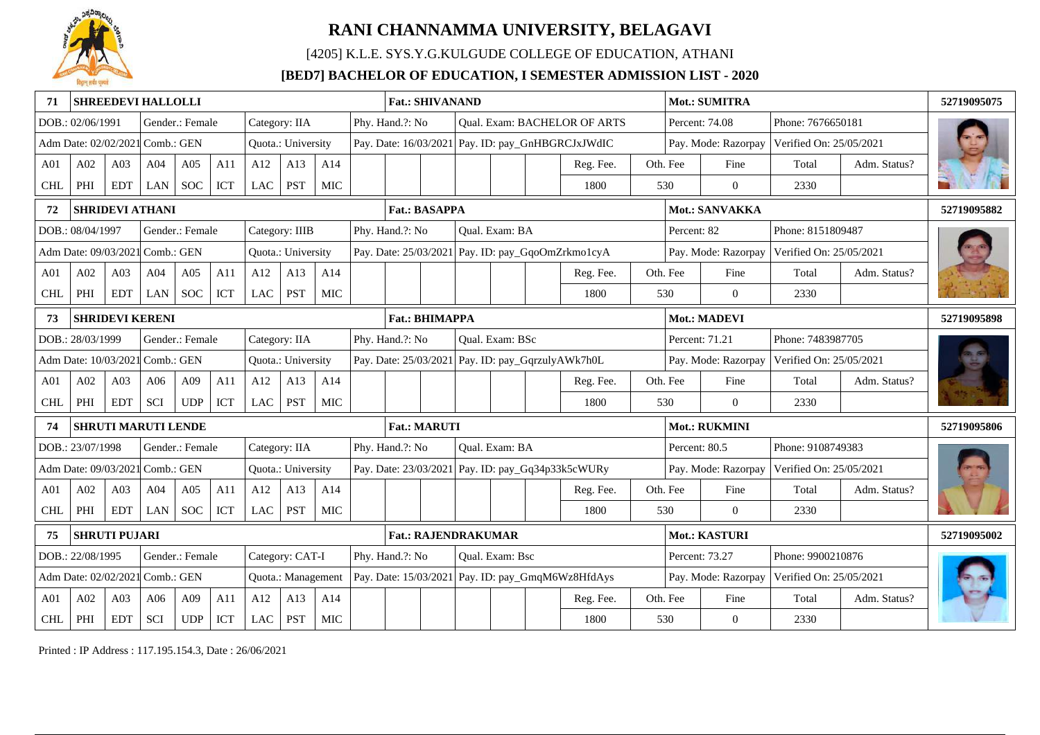

[4205] K.L.E. SYS.Y.G.KULGUDE COLLEGE OF EDUCATION, ATHANI

### **[BED7] BACHELOR OF EDUCATION, I SEMESTER ADMISSION LIST - 2020**

| 71              |                                                                     |                                                          | <b>SHREEDEVI HALLOLLI</b>  |                 |     |               |                    |                 | <b>Fat.: SHIVANAND</b><br>Phy. Hand.?: No<br>Qual. Exam: BACHELOR OF ARTS |                       |                 |                                                   |                 |  |                                                     | <b>Mot.: SUMITRA</b> |                     |                         |                         | 52719095075  |             |
|-----------------|---------------------------------------------------------------------|----------------------------------------------------------|----------------------------|-----------------|-----|---------------|--------------------|-----------------|---------------------------------------------------------------------------|-----------------------|-----------------|---------------------------------------------------|-----------------|--|-----------------------------------------------------|----------------------|---------------------|-------------------------|-------------------------|--------------|-------------|
|                 | DOB.: 02/06/1991                                                    |                                                          |                            | Gender.: Female |     | Category: IIA |                    |                 |                                                                           |                       |                 |                                                   |                 |  |                                                     |                      |                     | Percent: 74.08          | Phone: 7676650181       |              |             |
|                 | Adm Date: 02/02/2021 Comb.: GEN                                     |                                                          |                            |                 |     |               | Quota.: University |                 |                                                                           |                       |                 |                                                   |                 |  | Pay. Date: 16/03/2021 Pay. ID: pay_GnHBGRCJxJWdIC   |                      |                     | Pay. Mode: Razorpay     | Verified On: 25/05/2021 |              |             |
| A01             | A02                                                                 | A03                                                      | A04                        | A05             | A11 | A12           | A13                | A14             |                                                                           |                       |                 |                                                   |                 |  | Reg. Fee.                                           |                      | Oth. Fee            | Fine                    | Total                   | Adm. Status? |             |
| <b>CHL</b>      | PHI                                                                 | <b>EDT</b>                                               | LAN                        | <b>SOC</b>      | ICT | LAC           | <b>PST</b>         | MIC             |                                                                           |                       |                 |                                                   |                 |  | 1800                                                |                      | 530                 | $\theta$                | 2330                    |              |             |
| 72              |                                                                     |                                                          | <b>SHRIDEVI ATHANI</b>     |                 |     |               |                    |                 |                                                                           | <b>Fat.: BASAPPA</b>  |                 |                                                   |                 |  |                                                     |                      |                     | Mot.: SANVAKKA          |                         |              | 52719095882 |
|                 | DOB.: 08/04/1997                                                    |                                                          |                            | Gender.: Female |     |               | Category: IIIB     |                 |                                                                           | Phy. Hand.?: No       |                 |                                                   | Qual. Exam: BA  |  |                                                     |                      | Percent: 82         |                         | Phone: 8151809487       |              |             |
|                 | Adm Date: 09/03/2021 Comb.: GEN                                     |                                                          |                            |                 |     |               | Quota.: University |                 |                                                                           |                       |                 | Pay. Date: 25/03/2021 Pay. ID: pay_GqoOmZrkmo1cyA |                 |  |                                                     |                      | Pay. Mode: Razorpay |                         | Verified On: 25/05/2021 |              |             |
| A01             | A02                                                                 | A03                                                      | A04                        | A05             | A11 | A12           | A13                | A14             |                                                                           |                       |                 |                                                   |                 |  | Reg. Fee.                                           |                      | Oth. Fee            | Fine                    | Total                   | Adm. Status? |             |
| <b>CHL</b>      | PHI                                                                 | <b>EDT</b>                                               | LAN                        | <b>SOC</b>      | ICT | LAC           | <b>PST</b>         | MIC             |                                                                           |                       |                 |                                                   |                 |  | 1800                                                |                      | 530                 | $\overline{0}$          | 2330                    |              |             |
| 73              |                                                                     |                                                          | <b>SHRIDEVI KERENI</b>     |                 |     |               |                    |                 |                                                                           | <b>Fat.: BHIMAPPA</b> |                 |                                                   |                 |  |                                                     |                      |                     | Mot.: MADEVI            |                         | 52719095898  |             |
|                 | DOB.: 28/03/1999                                                    |                                                          |                            | Gender.: Female |     |               | Category: IIA      |                 |                                                                           | Phy. Hand.?: No       |                 |                                                   | Qual. Exam: BSc |  |                                                     |                      |                     | Percent: 71.21          | Phone: 7483987705       |              |             |
|                 | Adm Date: 10/03/202                                                 |                                                          | Comb.: GEN                 |                 |     |               | Quota.: University |                 |                                                                           |                       |                 |                                                   |                 |  | Pay. Date: 25/03/2021 Pay. ID: pay_GqrzulyAWk7h0L   |                      | Pay. Mode: Razorpay |                         | Verified On: 25/05/2021 |              |             |
| A <sub>01</sub> | A02                                                                 | A <sub>03</sub>                                          | A06                        | A09             | A11 | A12           | A13                | A14             |                                                                           |                       |                 |                                                   |                 |  | Reg. Fee.                                           |                      | Oth. Fee            | Fine                    | Total                   | Adm. Status? |             |
| <b>CHL</b>      | PHI                                                                 | <b>EDT</b>                                               | SCI                        | <b>UDP</b>      | ICT | LAC           | <b>PST</b>         | MIC             |                                                                           |                       |                 |                                                   |                 |  | 1800                                                |                      | 530                 | $\theta$                | 2330                    |              |             |
|                 |                                                                     |                                                          | <b>SHRUTI MARUTI LENDE</b> |                 |     |               |                    |                 |                                                                           | <b>Fat.: MARUTI</b>   |                 |                                                   |                 |  |                                                     |                      |                     | Mot.: RUKMINI           |                         |              | 52719095806 |
|                 | DOB.: 23/07/1998                                                    |                                                          |                            | Gender.: Female |     |               | Category: IIA      |                 |                                                                           | Phy. Hand.?: No       |                 |                                                   | Qual. Exam: BA  |  |                                                     |                      | Percent: 80.5       |                         | Phone: 9108749383       |              |             |
|                 | Adm Date: 09/03/2021                                                |                                                          | l Comb.: GEN               |                 |     |               | Quota.: University |                 |                                                                           |                       |                 |                                                   |                 |  | Pay. Date: 23/03/2021   Pay. ID: pay_Gq34p33k5cWURy |                      |                     | Pay. Mode: Razorpay     | Verified On: 25/05/2021 |              |             |
| A01             | A02                                                                 | A <sub>03</sub>                                          | A04                        | A05             | A11 | A12           | A13                | A14             |                                                                           |                       |                 |                                                   |                 |  | Reg. Fee.                                           |                      | Oth. Fee            | Fine                    | Total                   | Adm. Status? |             |
| <b>CHL</b>      | PHI                                                                 | <b>EDT</b>                                               | LAN                        | <b>SOC</b>      | ICT | <b>LAC</b>    | <b>PST</b>         | MIC             |                                                                           |                       |                 |                                                   |                 |  | 1800                                                |                      | 530                 | $\Omega$                | 2330                    |              |             |
| 75              | <b>SHRUTI PUJARI</b><br><b>Fat.: RAJENDRAKUMAR</b><br>Mot.: KASTURI |                                                          |                            |                 |     |               |                    |                 |                                                                           |                       | 52719095002     |                                                   |                 |  |                                                     |                      |                     |                         |                         |              |             |
|                 | DOB.: 22/08/1995                                                    | Gender.: Female<br>Category: CAT-I                       |                            |                 |     |               |                    | Phy. Hand.?: No |                                                                           |                       | Oual. Exam: Bsc |                                                   |                 |  |                                                     |                      | Percent: 73.27      | Phone: 9900210876       |                         |              |             |
|                 |                                                                     | Comb.: GEN<br>Adm Date: 02/02/2021<br>Quota.: Management |                            |                 |     |               |                    |                 |                                                                           |                       |                 | Pay. Date: 15/03/2021 Pay. ID: pay_GmqM6Wz8HfdAys |                 |  |                                                     |                      | Pay. Mode: Razorpay | Verified On: 25/05/2021 |                         |              |             |
| A01             | A02                                                                 | A03                                                      | A06                        | A09             | A11 | A12           | A13                | A14             |                                                                           |                       |                 |                                                   |                 |  | Reg. Fee.                                           |                      | Oth. Fee            | Fine                    | Total                   | Adm. Status? |             |
| <b>CHL</b>      | PHI                                                                 | <b>EDT</b>                                               | SCI                        | UDP             | ICT | $_{\rm LAC}$  | <b>PST</b>         | <b>MIC</b>      |                                                                           |                       |                 |                                                   |                 |  | 1800                                                |                      | 530                 | $\overline{0}$          | 2330                    |              |             |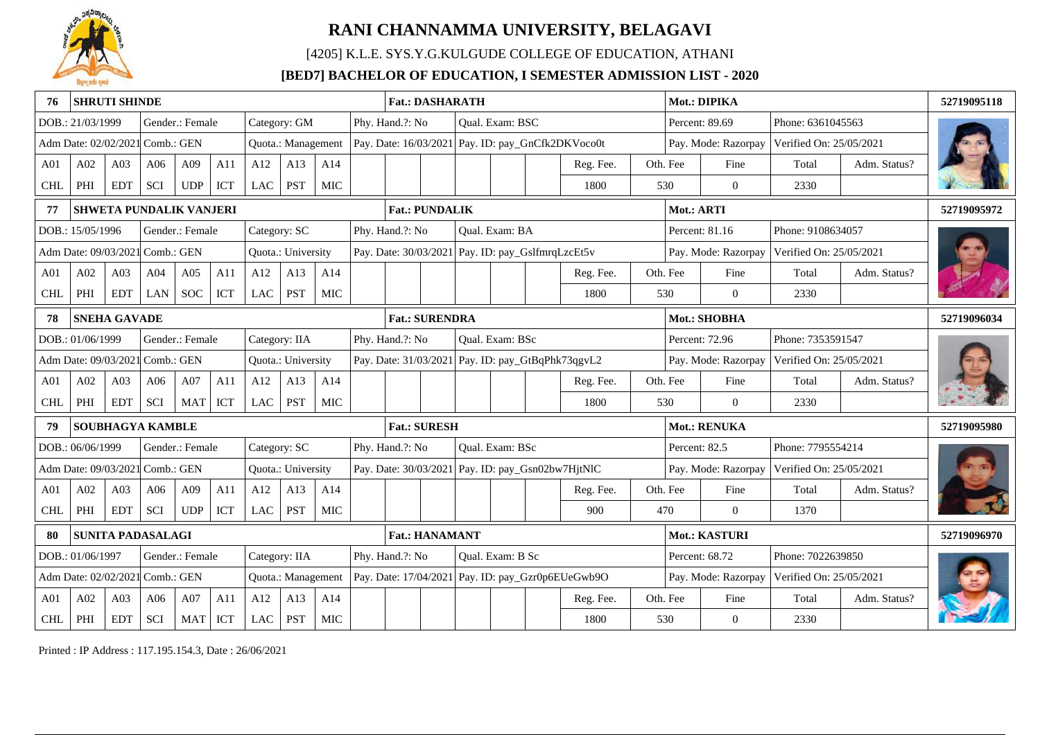

[4205] K.L.E. SYS.Y.G.KULGUDE COLLEGE OF EDUCATION, ATHANI

### **[BED7] BACHELOR OF EDUCATION, I SEMESTER ADMISSION LIST - 2020**

|                 | <b>SHRUTI SHINDE</b>            |                                  |                                                       |                 |     |              |                    |            |  | <b>Fat.: DASHARATH</b>                                                     |                                                                                                       |                                                   |                 |  |                                                   |  |                     | Mot.: DIPIKA        |                         |              | 52719095118 |
|-----------------|---------------------------------|----------------------------------|-------------------------------------------------------|-----------------|-----|--------------|--------------------|------------|--|----------------------------------------------------------------------------|-------------------------------------------------------------------------------------------------------|---------------------------------------------------|-----------------|--|---------------------------------------------------|--|---------------------|---------------------|-------------------------|--------------|-------------|
|                 | DOB.: 21/03/1999                |                                  |                                                       | Gender.: Female |     |              | Category: GM       |            |  | Phy. Hand.?: No                                                            |                                                                                                       |                                                   | Qual. Exam: BSC |  |                                                   |  |                     | Percent: 89.69      | Phone: 6361045563       |              |             |
|                 | Adm Date: 02/02/2021 Comb.: GEN |                                  |                                                       |                 |     |              | Quota.: Management |            |  |                                                                            |                                                                                                       |                                                   |                 |  | Pay. Date: 16/03/2021 Pay. ID: pay_GnCfk2DKVoco0t |  |                     | Pay. Mode: Razorpay | Verified On: 25/05/2021 |              |             |
| A <sub>01</sub> | A02                             | A03                              | A06                                                   | A09             | A11 | A12          | A13                | A14        |  |                                                                            |                                                                                                       |                                                   |                 |  | Reg. Fee.                                         |  | Oth. Fee            | Fine                | Total                   | Adm. Status? |             |
| <b>CHL</b>      | PHI                             | <b>EDT</b>                       | <b>SCI</b>                                            | <b>UDP</b>      | ICT | LAC          | <b>PST</b>         | MIC        |  |                                                                            |                                                                                                       |                                                   |                 |  | 1800                                              |  | 530                 | $\Omega$            | 2330                    |              |             |
|                 |                                 |                                  | SHWETA PUNDALIK VANJERI                               |                 |     |              |                    |            |  | <b>Fat.: PUNDALIK</b>                                                      |                                                                                                       |                                                   |                 |  |                                                   |  | Mot.: ARTI          |                     |                         |              | 52719095972 |
|                 | DOB.: 15/05/1996                |                                  |                                                       | Gender.: Female |     | Category: SC |                    |            |  | Phy. Hand.?: No                                                            |                                                                                                       |                                                   | Qual. Exam: BA  |  |                                                   |  |                     | Percent: 81.16      | Phone: 9108634057       |              |             |
|                 |                                 |                                  | Adm Date: 09/03/2021 Comb.: GEN<br>Quota.: University |                 |     |              |                    |            |  |                                                                            | Pay. Date: 30/03/2021   Pay. ID: pay_GslfmrqLzcEt5v<br>Pay. Mode: Razorpay<br>Verified On: 25/05/2021 |                                                   |                 |  |                                                   |  |                     |                     |                         |              |             |
| A <sub>01</sub> | A02                             | A03                              | A04                                                   | A05             | A11 | A12          | A13                | A14        |  |                                                                            |                                                                                                       |                                                   |                 |  | Reg. Fee.                                         |  | Oth. Fee            | Fine                | Total                   | Adm. Status? |             |
| CHL             | PHI                             | <b>EDT</b>                       | LAN                                                   | <b>SOC</b>      | ICT | <b>LAC</b>   | <b>PST</b>         | MIC        |  |                                                                            |                                                                                                       |                                                   |                 |  | 1800                                              |  | 530                 | $\overline{0}$      | 2330                    |              |             |
| 78              | <b>SNEHA GAVADE</b>             |                                  |                                                       |                 |     |              |                    |            |  | <b>Fat.: SURENDRA</b>                                                      |                                                                                                       |                                                   |                 |  |                                                   |  |                     | Mot.: SHOBHA        |                         |              | 52719096034 |
|                 | DOB.: 01/06/1999                |                                  |                                                       | Gender.: Female |     |              | Category: IIA      |            |  | Phy. Hand.?: No                                                            |                                                                                                       |                                                   | Qual. Exam: BSc |  |                                                   |  |                     | Percent: 72.96      | Phone: 7353591547       |              |             |
|                 | Adm Date: 09/03/2021 Comb.: GEN |                                  |                                                       |                 |     |              | Quota.: University |            |  |                                                                            |                                                                                                       |                                                   |                 |  | Pay. Date: 31/03/2021 Pay. ID: pay_GtBqPhk73qgvL2 |  | Pay. Mode: Razorpay |                     | Verified On: 25/05/2021 |              |             |
| A <sub>01</sub> | A02                             | A <sub>03</sub>                  | A06                                                   | A07             | A11 | A12          | A13                | A14        |  |                                                                            |                                                                                                       |                                                   |                 |  | Reg. Fee.                                         |  | Oth. Fee            | Fine                | Total                   | Adm. Status? |             |
| <b>CHL</b>      | PHI                             | <b>EDT</b>                       | <b>SCI</b>                                            | <b>MAT</b>      | ICT | LAC          | <b>PST</b>         | MIC        |  |                                                                            |                                                                                                       |                                                   |                 |  | 1800                                              |  | 530                 | $\Omega$            | 2330                    |              |             |
|                 |                                 |                                  | <b>SOUBHAGYA KAMBLE</b>                               |                 |     |              |                    |            |  | <b>Fat.: SURESH</b>                                                        |                                                                                                       |                                                   |                 |  |                                                   |  |                     | Mot.: RENUKA        |                         |              | 52719095980 |
|                 | DOB.: 06/06/1999                |                                  |                                                       | Gender.: Female |     | Category: SC |                    |            |  | Phy. Hand.?: No                                                            |                                                                                                       |                                                   | Qual. Exam: BSc |  |                                                   |  | Percent: 82.5       |                     | Phone: 7795554214       |              |             |
|                 | Adm Date: 09/03/2021 Comb.: GEN |                                  |                                                       |                 |     |              | Quota.: University |            |  |                                                                            |                                                                                                       |                                                   |                 |  | Pay. Date: 30/03/2021 Pay. ID: pay_Gsn02bw7HjtNlC |  |                     | Pay. Mode: Razorpay | Verified On: 25/05/2021 |              |             |
| A <sub>01</sub> | A02                             | A03                              | A06                                                   | A09             | A11 | A12          | A13                | A14        |  |                                                                            |                                                                                                       |                                                   |                 |  | Reg. Fee.                                         |  | Oth. Fee            | Fine                | Total                   | Adm. Status? |             |
| <b>CHL</b>      | PHI                             | <b>EDT</b>                       | <b>SCI</b>                                            | <b>UDP</b>      | ICT | <b>LAC</b>   | <b>PST</b>         | MIC        |  |                                                                            |                                                                                                       |                                                   |                 |  | 900                                               |  | 470                 | $\Omega$            | 1370                    |              |             |
|                 |                                 |                                  | <b>SUNITA PADASALAGI</b>                              |                 |     |              |                    |            |  | Mot.: KASTURI<br><b>Fat.: HANAMANT</b>                                     |                                                                                                       |                                                   |                 |  |                                                   |  | 52719096970         |                     |                         |              |             |
|                 | DOB.: 01/06/1997                |                                  |                                                       | Gender.: Female |     |              | Category: IIA      |            |  | Phy. Hand.?: No<br>Oual. Exam: B Sc<br>Percent: 68.72<br>Phone: 7022639850 |                                                                                                       |                                                   |                 |  |                                                   |  |                     |                     |                         |              |             |
|                 | Adm Date: 02/02/2021            | Comb.: GEN<br>Quota.: Management |                                                       |                 |     |              |                    |            |  |                                                                            |                                                                                                       | Pay. Date: 17/04/2021 Pay. ID: pay_Gzr0p6EUeGwb9O |                 |  |                                                   |  |                     | Pay. Mode: Razorpay | Verified On: 25/05/2021 |              |             |
| A <sub>01</sub> | A02                             | A03                              | A06                                                   | A07             | A11 | A12          | A13                | A14        |  |                                                                            |                                                                                                       |                                                   |                 |  | Reg. Fee.                                         |  | Oth. Fee            | Fine                | Total                   | Adm. Status? |             |
| <b>CHL</b>      | $\rm PHI$                       | <b>EDT</b>                       | SCI                                                   | <b>MAT</b>      | ICT | LAC          | PST                | <b>MIC</b> |  |                                                                            |                                                                                                       |                                                   |                 |  | 1800                                              |  | 530                 | $\overline{0}$      | 2330                    |              |             |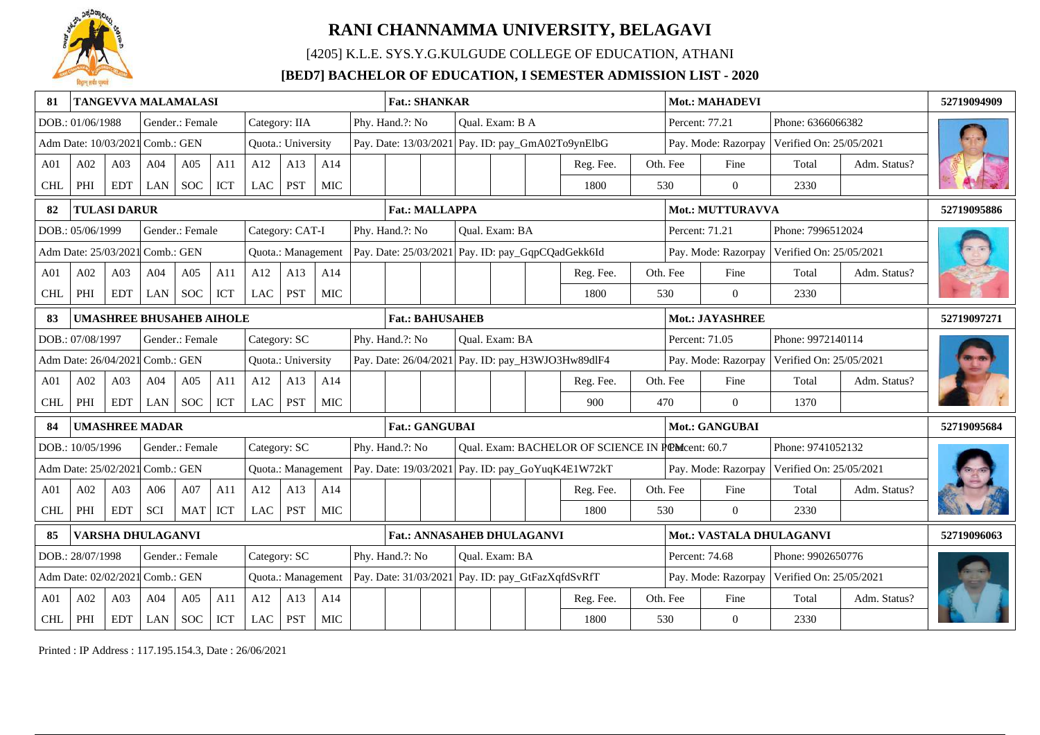

[4205] K.L.E. SYS.Y.G.KULGUDE COLLEGE OF EDUCATION, ATHANI

### **[BED7] BACHELOR OF EDUCATION, I SEMESTER ADMISSION LIST - 2020**

| 81              |                                 |                     | TANGEVVA MALAMALASI             |                 |     |            |                    |            | <b>Fat.: SHANKAR</b><br>Phy. Hand.?: No<br>Qual. Exam: B A |                                                                          |                                                        |                                                   |                |  |                                                   | Mot.: MAHADEVI |          |                         |                         | 52719094909  |             |
|-----------------|---------------------------------|---------------------|---------------------------------|-----------------|-----|------------|--------------------|------------|------------------------------------------------------------|--------------------------------------------------------------------------|--------------------------------------------------------|---------------------------------------------------|----------------|--|---------------------------------------------------|----------------|----------|-------------------------|-------------------------|--------------|-------------|
|                 | DOB.: 01/06/1988                |                     |                                 | Gender.: Female |     |            | Category: IIA      |            |                                                            |                                                                          |                                                        |                                                   |                |  |                                                   |                |          | Percent: 77.21          | Phone: 6366066382       |              |             |
|                 | Adm Date: 10/03/2021 Comb.: GEN |                     |                                 |                 |     |            | Quota.: University |            |                                                            |                                                                          |                                                        |                                                   |                |  | Pay. Date: 13/03/2021 Pay. ID: pay_GmA02To9ynElbG |                |          | Pay. Mode: Razorpay     | Verified On: 25/05/2021 |              |             |
| A <sub>01</sub> | A02                             | A03                 | A04                             | A05             | A11 | A12        | A13                | A14        |                                                            |                                                                          |                                                        |                                                   |                |  | Reg. Fee.                                         |                | Oth. Fee | Fine                    | Total                   | Adm. Status? |             |
| <b>CHL</b>      | PHI                             | <b>EDT</b>          | LAN                             | <b>SOC</b>      | ICT | <b>LAC</b> | <b>PST</b>         | MIC        |                                                            |                                                                          |                                                        |                                                   |                |  | 1800                                              |                | 530      | $\overline{0}$          | 2330                    |              |             |
| 82              |                                 | <b>TULASI DARUR</b> |                                 |                 |     |            |                    |            |                                                            | <b>Fat.: MALLAPPA</b>                                                    |                                                        |                                                   |                |  |                                                   |                |          | <b>Mot.: MUTTURAVVA</b> |                         |              | 52719095886 |
|                 | DOB.: 05/06/1999                |                     |                                 | Gender.: Female |     |            | Category: CAT-I    |            |                                                            | Phy. Hand.?: No                                                          |                                                        |                                                   | Qual. Exam: BA |  |                                                   |                |          | Percent: 71.21          | Phone: 7996512024       |              |             |
|                 | Adm Date: 25/03/2021 Comb.: GEN |                     |                                 |                 |     |            | Quota.: Management |            |                                                            |                                                                          |                                                        |                                                   |                |  | Pay. Date: 25/03/2021 Pay. ID: pay_GqpCQadGekk6Id |                |          | Pay. Mode: Razorpay     | Verified On: 25/05/2021 |              |             |
| A <sub>01</sub> | A02                             | A <sub>03</sub>     | A04                             | A05             | A11 | A12        | A13                | A14        |                                                            |                                                                          |                                                        |                                                   |                |  | Reg. Fee.                                         |                | Oth. Fee | Fine                    | Total                   | Adm. Status? |             |
| <b>CHL</b>      | PHI                             | <b>EDT</b>          | LAN                             | <b>SOC</b>      | ICT | <b>LAC</b> | <b>PST</b>         | MIC        |                                                            |                                                                          |                                                        |                                                   |                |  | 1800                                              |                | 530      | $\overline{0}$          | 2330                    |              |             |
| 83              |                                 |                     | <b>UMASHREE BHUSAHEB AIHOLE</b> |                 |     |            |                    |            |                                                            | <b>Fat.: BAHUSAHEB</b>                                                   |                                                        |                                                   |                |  |                                                   |                |          | Mot.: JAYASHREE         |                         |              | 52719097271 |
|                 | DOB.: 07/08/1997                |                     |                                 | Gender.: Female |     |            | Category: SC       |            |                                                            | Phy. Hand.?: No                                                          |                                                        |                                                   | Qual. Exam: BA |  |                                                   |                |          | Percent: 71.05          | Phone: 9972140114       |              |             |
|                 | Adm Date: 26/04/2021 Comb.: GEN |                     |                                 |                 |     |            | Quota.: University |            |                                                            |                                                                          |                                                        |                                                   |                |  | Pay. Date: 26/04/2021 Pay. ID: pay_H3WJO3Hw89dlF4 |                |          | Pay. Mode: Razorpay     | Verified On: 25/05/2021 |              |             |
| A <sub>01</sub> | A02                             | A03                 | A04                             | A05             | A11 | A12        | A13                | A14        |                                                            |                                                                          |                                                        |                                                   |                |  | Reg. Fee.                                         |                | Oth. Fee | Fine                    | Total                   | Adm. Status? |             |
| <b>CHL</b>      | PHI                             | <b>EDT</b>          | <b>LAN</b>                      | <b>SOC</b>      | ICT | LAC        | <b>PST</b>         | MIC        |                                                            |                                                                          |                                                        |                                                   |                |  | 900                                               |                | 470      | $\theta$                | 1370                    |              |             |
|                 |                                 |                     | <b>UMASHREE MADAR</b>           |                 |     |            |                    |            |                                                            | <b>Fat.: GANGUBAI</b>                                                    |                                                        |                                                   |                |  |                                                   |                |          | Mot.: GANGUBAI          |                         |              | 52719095684 |
|                 | DOB.: 10/05/1996                |                     |                                 | Gender.: Female |     |            | Category: SC       |            |                                                            | Phy. Hand.?: No                                                          |                                                        |                                                   |                |  | Qual. Exam: BACHELOR OF SCIENCE IN POMcent: 60.7  |                |          |                         | Phone: 9741052132       |              |             |
|                 | Adm Date: 25/02/2021 Comb.: GEN |                     |                                 |                 |     |            | Quota.: Management |            |                                                            |                                                                          |                                                        |                                                   |                |  | Pay. Date: 19/03/2021 Pay. ID: pay_GoYuqK4E1W72kT |                |          | Pay. Mode: Razorpay     | Verified On: 25/05/2021 |              |             |
| A <sub>01</sub> | A02                             | A03                 | A06                             | A07             | A11 | A12        | A13                | A14        |                                                            |                                                                          |                                                        |                                                   |                |  | Reg. Fee.                                         |                | Oth. Fee | Fine                    | Total                   | Adm. Status? |             |
| <b>CHL</b>      | PHI                             | <b>EDT</b>          | <b>SCI</b>                      | <b>MAT</b>      | ICT | <b>LAC</b> | <b>PST</b>         | <b>MIC</b> |                                                            |                                                                          |                                                        |                                                   |                |  | 1800                                              |                | 530      | $\Omega$                | 2330                    |              |             |
|                 |                                 |                     | VARSHA DHULAGANVI               |                 |     |            |                    |            |                                                            |                                                                          | Fat.: ANNASAHEB DHULAGANVI<br>Mot.: VASTALA DHULAGANVI |                                                   |                |  |                                                   |                |          | 52719096063             |                         |              |             |
|                 | DOB.: 28/07/1998                |                     |                                 | Gender.: Female |     |            | Category: SC       |            |                                                            | Phy. Hand.?: No<br>Qual. Exam: BA<br>Percent: 74.68<br>Phone: 9902650776 |                                                        |                                                   |                |  |                                                   |                |          |                         |                         |              |             |
|                 | Adm Date: 02/02/202             |                     | Comb.: GEN                      |                 |     |            | Quota.: Management |            |                                                            |                                                                          |                                                        | Pay. Date: 31/03/2021 Pay. ID: pay_GtFazXqfdSvRfT |                |  |                                                   |                |          | Pay. Mode: Razorpay     | Verified On: 25/05/2021 |              |             |
| A <sub>01</sub> | A02                             | A03                 | A04                             | A05             | A11 | A12        | A13                | A14        |                                                            |                                                                          |                                                        |                                                   |                |  | Reg. Fee.                                         |                | Oth. Fee | Fine                    | Total                   | Adm. Status? |             |
| <b>CHL</b>      | $\rm PHI$                       | <b>EDT</b>          | LAN                             | <b>SOC</b>      | ICT | LAC        | <b>PST</b>         | <b>MIC</b> |                                                            |                                                                          |                                                        |                                                   |                |  | 1800                                              |                | 530      | $\overline{0}$          | 2330                    |              |             |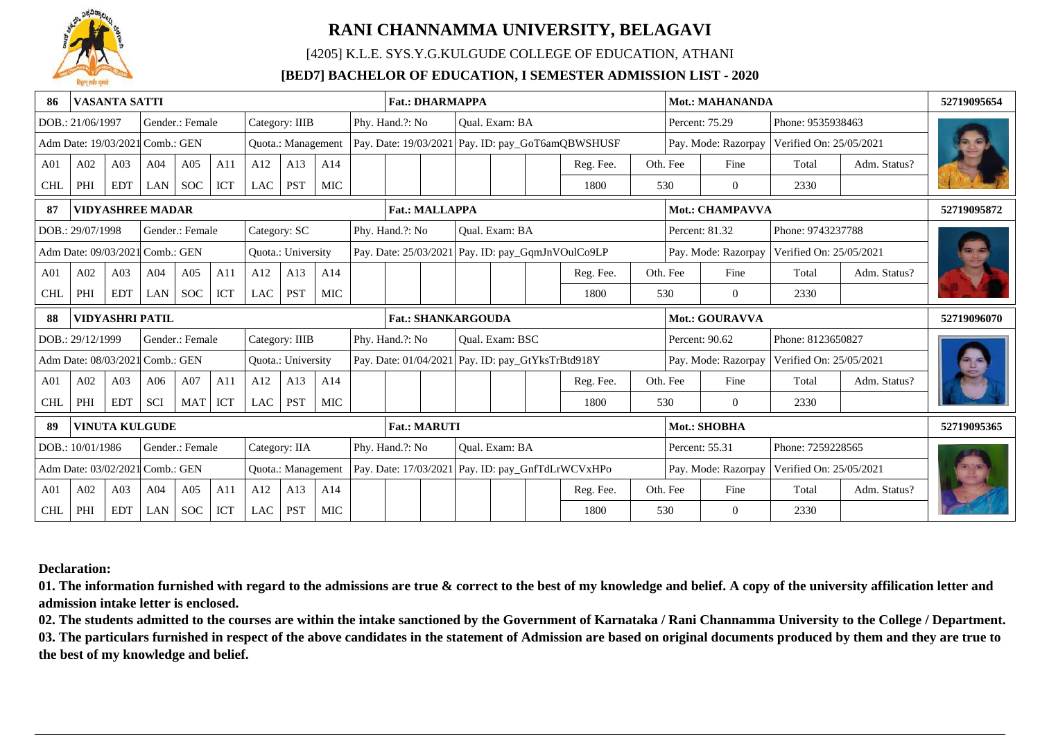

[4205] K.L.E. SYS.Y.G.KULGUDE COLLEGE OF EDUCATION, ATHANI

### **[BED7] BACHELOR OF EDUCATION, I SEMESTER ADMISSION LIST - 2020**

| -86             |                                 | <b>VASANTA SATTI</b>                                  |                         |            |            |               |                           |                                   | <b>Fat.: DHARMAPPA</b>    |  |  |                 |                                                     |                                                   |  |                     | <b>Mot.: MAHANANDA</b>  |                         |              | 52719095654 |
|-----------------|---------------------------------|-------------------------------------------------------|-------------------------|------------|------------|---------------|---------------------------|-----------------------------------|---------------------------|--|--|-----------------|-----------------------------------------------------|---------------------------------------------------|--|---------------------|-------------------------|-------------------------|--------------|-------------|
|                 | DOB.: 21/06/1997                |                                                       | Gender.: Female         |            |            |               | Category: IIIB            |                                   | Phy. Hand.?: No           |  |  | Oual. Exam: BA  |                                                     |                                                   |  |                     | Percent: 75.29          | Phone: 9535938463       |              |             |
|                 | Adm Date: 19/03/2021 Comb.: GEN |                                                       |                         |            |            |               | Quota.: Management        |                                   |                           |  |  |                 |                                                     | Pay. Date: 19/03/2021 Pay. ID: pay_GoT6amQBWSHUSF |  |                     | Pay. Mode: Razorpay     | Verified On: 25/05/2021 |              |             |
| A <sub>01</sub> | A02                             | A03                                                   | A04                     | A05        | A11        | A12           | A13                       | A14                               |                           |  |  |                 |                                                     | Reg. Fee.                                         |  | Oth. Fee            | Fine                    | Total                   | Adm. Status? |             |
| <b>CHL</b>      | PHI                             | <b>EDT</b>                                            | LAN                     | <b>SOC</b> | ICT        | LAC           | <b>PST</b>                | MIC                               |                           |  |  |                 |                                                     | 1800                                              |  | 530                 | $\Omega$                | 2330                    |              |             |
| 87              |                                 |                                                       | <b>VIDYASHREE MADAR</b> |            |            |               |                           |                                   | <b>Fat.: MALLAPPA</b>     |  |  |                 |                                                     |                                                   |  |                     | Mot.: CHAMPAVVA         |                         |              | 52719095872 |
|                 | DOB.: 29/07/1998                | Category: SC<br>Gender.: Female                       |                         |            |            |               |                           | Phy. Hand.?: No<br>Qual. Exam: BA |                           |  |  |                 |                                                     |                                                   |  | Percent: 81.32      | Phone: 9743237788       |                         |              |             |
|                 |                                 | Adm Date: 09/03/2021 Comb.: GEN<br>Quota.: University |                         |            |            |               |                           |                                   |                           |  |  |                 | Pay. Date: 25/03/2021   Pay. ID: pay_GqmJnVOulCo9LP |                                                   |  | Pay. Mode: Razorpay | Verified On: 25/05/2021 |                         |              |             |
| A <sub>01</sub> | A02                             | A03                                                   | A <sub>04</sub>         | A05        | A11        | A12           | A13                       | A14                               |                           |  |  |                 |                                                     | Reg. Fee.                                         |  | Oth. Fee            | Fine                    | Total                   | Adm. Status? |             |
| <b>CHL</b>      | PHI                             | <b>EDT</b>                                            | LAN                     | <b>SOC</b> | <b>ICT</b> | LAC           | <b>PST</b>                | MIC                               |                           |  |  |                 |                                                     | 1800                                              |  | 530                 | $\overline{0}$          | 2330                    |              |             |
|                 |                                 |                                                       |                         |            |            |               |                           |                                   |                           |  |  |                 |                                                     |                                                   |  |                     |                         |                         |              |             |
| 88              |                                 | <b>VIDYASHRI PATIL</b>                                |                         |            |            |               |                           |                                   | <b>Fat.: SHANKARGOUDA</b> |  |  |                 |                                                     |                                                   |  |                     | <b>Mot.: GOURAVVA</b>   |                         |              | 52719096070 |
|                 | DOB.: 29/12/1999                |                                                       | Gender.: Female         |            |            |               | Category: IIIB            |                                   | Phy. Hand.?: No           |  |  | Oual. Exam: BSC |                                                     |                                                   |  |                     | Percent: 90.62          | Phone: 8123650827       |              |             |
|                 | Adm Date: 08/03/2021 Comb.: GEN |                                                       |                         |            |            |               | <b>Ouota.: University</b> |                                   | Pay. Date: 01/04/2021     |  |  |                 |                                                     | Pay. ID: pay_GtYksTrBtd918Y                       |  |                     | Pay. Mode: Razorpay     | Verified On: 25/05/2021 |              |             |
| A01             | A02                             | A03                                                   | A06                     | A07        | A11        | A12           | A13                       | A14                               |                           |  |  |                 |                                                     | Reg. Fee.                                         |  | Oth. Fee            | Fine                    | Total                   | Adm. Status? |             |
| <b>CHL</b>      | PHI                             | <b>EDT</b>                                            | SCI                     | <b>MAT</b> | ICT        | LAC           | <b>PST</b>                | <b>MIC</b>                        |                           |  |  |                 |                                                     | 1800                                              |  | 530                 | $\Omega$                | 2330                    |              |             |
| 89              |                                 |                                                       | <b>VINUTA KULGUDE</b>   |            |            |               |                           |                                   | <b>Fat.: MARUTI</b>       |  |  |                 |                                                     |                                                   |  |                     | Mot.: SHOBHA            |                         |              | 52719095365 |
|                 | DOB.: 10/01/1986                |                                                       | Gender.: Female         |            |            | Category: IIA |                           |                                   | Phy. Hand.?: No           |  |  | Oual. Exam: BA  |                                                     |                                                   |  |                     | Percent: 55.31          | Phone: 7259228565       |              |             |
|                 | Adm Date: 03/02/2021 Comb.: GEN |                                                       |                         |            |            |               | Quota.: Management        |                                   |                           |  |  |                 |                                                     | Pay. Date: 17/03/2021 Pay. ID: pay_GnfTdLrWCVxHPo |  |                     | Pay. Mode: Razorpay     | Verified On: 25/05/2021 |              |             |
| A <sub>01</sub> | A02                             | A <sub>03</sub>                                       | A <sub>04</sub>         | A05        | A11        | A12           | A13                       | A14                               |                           |  |  |                 |                                                     | Reg. Fee.                                         |  | Oth. Fee            | Fine                    | Total                   | Adm. Status? |             |

**Declaration:**

**01. The information furnished with regard to the admissions are true & correct to the best of my knowledge and belief. A copy of the university affilication letter and admission intake letter is enclosed.**

**02. The students admitted to the courses are within the intake sanctioned by the Government of Karnataka / Rani Channamma University to the College / Department. 03. The particulars furnished in respect of the above candidates in the statement of Admission are based on original documents produced by them and they are true to the best of my knowledge and belief.**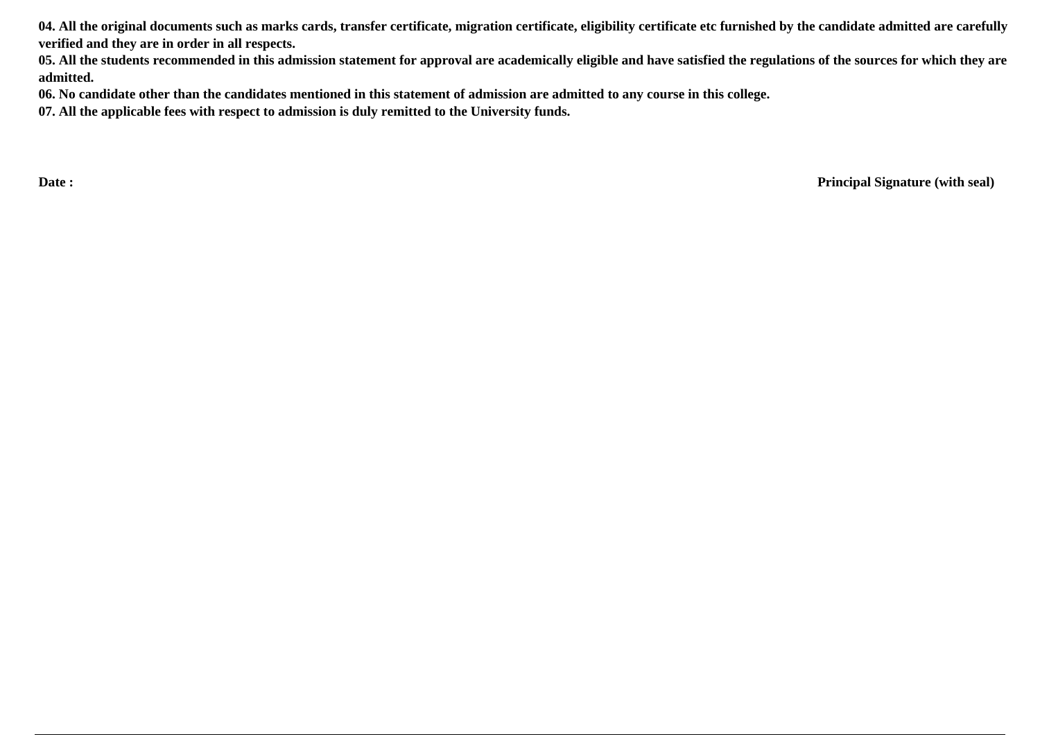**04. All the original documents such as marks cards, transfer certificate, migration certificate, eligibility certificate etc furnished by the candidate admitted are carefully verified and they are in order in all respects.**

**05. All the students recommended in this admission statement for approval are academically eligible and have satisfied the regulations of the sources for which they are admitted.**

**06. No candidate other than the candidates mentioned in this statement of admission are admitted to any course in this college.**

**07. All the applicable fees with respect to admission is duly remitted to the University funds.**

**Date : Principal Signature (with seal)**